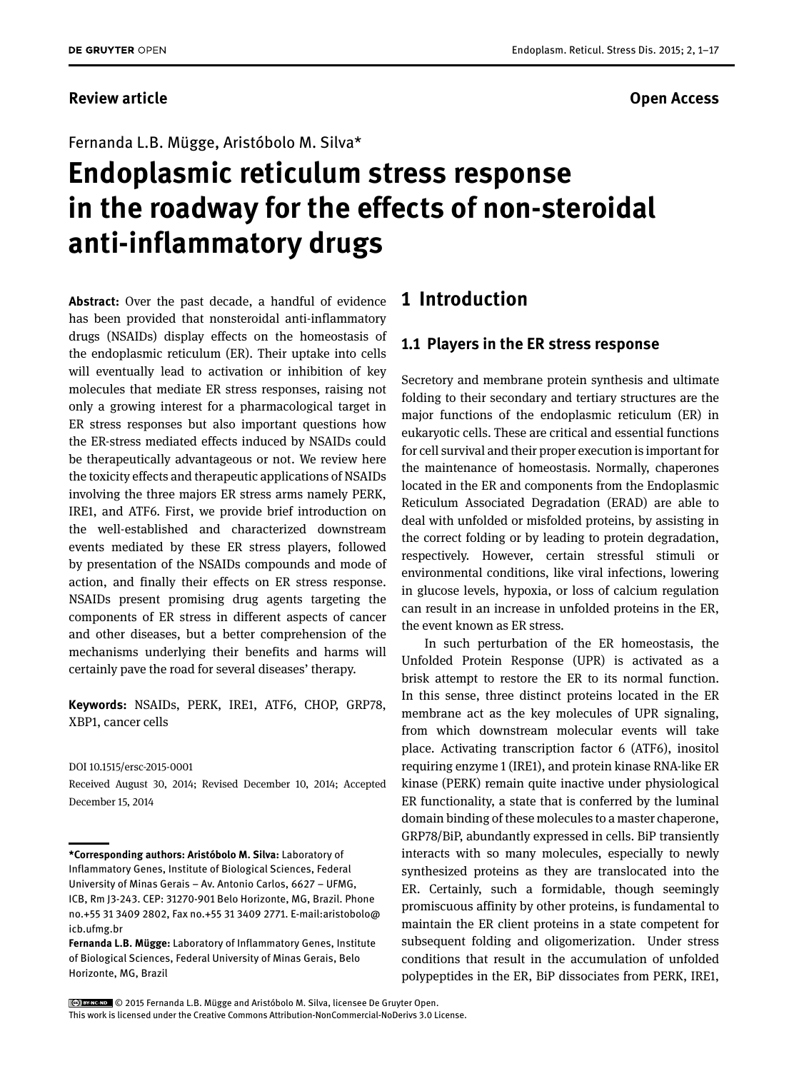#### Fernanda L.B. Mügge, Aristóbolo M. Silva\*

# **Endoplasmic reticulum stress response in the roadway for the effects of non-steroidal anti-inflammatory drugs**

**Abstract:** Over the past decade, a handful of evidence has been provided that nonsteroidal anti-inflammatory drugs (NSAIDs) display effects on the homeostasis of the endoplasmic reticulum (ER). Their uptake into cells will eventually lead to activation or inhibition of key molecules that mediate ER stress responses, raising not only a growing interest for a pharmacological target in ER stress responses but also important questions how the ER-stress mediated effects induced by NSAIDs could be therapeutically advantageous or not. We review here the toxicity effects and therapeutic applications of NSAIDs involving the three majors ER stress arms namely PERK, IRE1, and ATF6. First, we provide brief introduction on the well-established and characterized downstream events mediated by these ER stress players, followed by presentation of the NSAIDs compounds and mode of action, and finally their effects on ER stress response. NSAIDs present promising drug agents targeting the components of ER stress in different aspects of cancer and other diseases, but a better comprehension of the mechanisms underlying their benefits and harms will certainly pave the road for several diseases' therapy.

**Keywords:** NSAIDs, PERK, IRE1, ATF6, CHOP, GRP78, XBP1, cancer cells

#### DOI 10.1515/ersc-2015-0001

Received August 30, 2014; Revised December 10, 2014; Accepted December 15, 2014

### **1 Introduction**

#### **1.1 Players in the ER stress response**

Secretory and membrane protein synthesis and ultimate folding to their secondary and tertiary structures are the major functions of the endoplasmic reticulum (ER) in eukaryotic cells. These are critical and essential functions for cell survival and their proper execution is important for the maintenance of homeostasis. Normally, chaperones located in the ER and components from the Endoplasmic Reticulum Associated Degradation (ERAD) are able to deal with unfolded or misfolded proteins, by assisting in the correct folding or by leading to protein degradation, respectively. However, certain stressful stimuli or environmental conditions, like viral infections, lowering in glucose levels, hypoxia, or loss of calcium regulation can result in an increase in unfolded proteins in the ER, the event known as ER stress.

In such perturbation of the ER homeostasis, the Unfolded Protein Response (UPR) is activated as a brisk attempt to restore the ER to its normal function. In this sense, three distinct proteins located in the ER membrane act as the key molecules of UPR signaling, from which downstream molecular events will take place. Activating transcription factor 6 (ATF6), inositol requiring enzyme 1 (IRE1), and protein kinase RNA-like ER kinase (PERK) remain quite inactive under physiological ER functionality, a state that is conferred by the luminal domain binding of these molecules to a master chaperone, GRP78/BiP, abundantly expressed in cells. BiP transiently interacts with so many molecules, especially to newly synthesized proteins as they are translocated into the ER. Certainly, such a formidable, though seemingly promiscuous affinity by other proteins, is fundamental to maintain the ER client proteins in a state competent for subsequent folding and oligomerization. Under stress conditions that result in the accumulation of unfolded polypeptides in the ER, BiP dissociates from PERK, IRE1,

**<sup>\*</sup>Corresponding authors: Aristóbolo M. Silva:** Laboratory of Inflammatory Genes, Institute of Biological Sciences, Federal University of Minas Gerais – Av. Antonio Carlos, 6627 – UFMG, ICB, Rm J3-243. CEP: 31270-901 Belo Horizonte, MG, Brazil. Phone no.+55 31 3409 2802, Fax no.+55 31 3409 2771. E-mail:aristobolo@ icb.ufmg.br

**Fernanda L.B. Mügge:** Laboratory of Inflammatory Genes, Institute of Biological Sciences, Federal University of Minas Gerais, Belo Horizonte, MG, Brazil

<sup>© 2015</sup> Fernanda L.B. Mügge and Aristóbolo M. Silva, licensee De Gruyter Open. This work is licensed under the Creative Commons Attribution-NonCommercial-NoDerivs 3.0 License.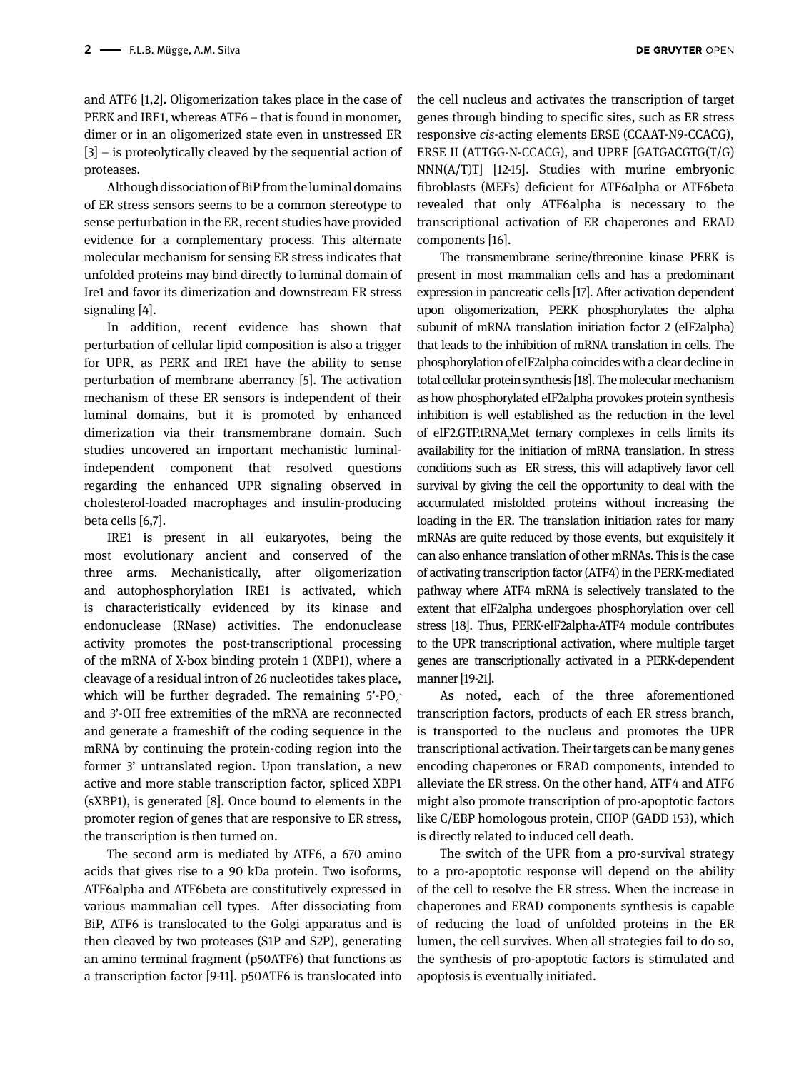and ATF6 [1,2]. Oligomerization takes place in the case of PERK and IRE1, whereas ATF6 – that is found in monomer, dimer or in an oligomerized state even in unstressed ER [3] – is proteolytically cleaved by the sequential action of proteases.

Although dissociation of BiP from the luminal domains of ER stress sensors seems to be a common stereotype to sense perturbation in the ER, recent studies have provided evidence for a complementary process. This alternate molecular mechanism for sensing ER stress indicates that unfolded proteins may bind directly to luminal domain of Ire1 and favor its dimerization and downstream ER stress signaling [4].

In addition, recent evidence has shown that perturbation of cellular lipid composition is also a trigger for UPR, as PERK and IRE1 have the ability to sense perturbation of membrane aberrancy [5]. The activation mechanism of these ER sensors is independent of their luminal domains, but it is promoted by enhanced dimerization via their transmembrane domain. Such studies uncovered an important mechanistic luminalindependent component that resolved questions regarding the enhanced UPR signaling observed in cholesterol-loaded macrophages and insulin-producing beta cells [6,7].

IRE1 is present in all eukaryotes, being the most evolutionary ancient and conserved of the three arms. Mechanistically, after oligomerization and autophosphorylation IRE1 is activated, which is characteristically evidenced by its kinase and endonuclease (RNase) activities. The endonuclease activity promotes the post-transcriptional processing of the mRNA of X-box binding protein 1 (XBP1), where a cleavage of a residual intron of 26 nucleotides takes place, which will be further degraded. The remaining 5'-PO<sub>4</sub> and 3'-OH free extremities of the mRNA are reconnected and generate a frameshift of the coding sequence in the mRNA by continuing the protein-coding region into the former 3' untranslated region. Upon translation, a new active and more stable transcription factor, spliced XBP1 (sXBP1), is generated [8]. Once bound to elements in the promoter region of genes that are responsive to ER stress, the transcription is then turned on.

The second arm is mediated by ATF6, a 670 amino acids that gives rise to a 90 kDa protein. Two isoforms, ATF6alpha and ATF6beta are constitutively expressed in various mammalian cell types. After dissociating from BiP, ATF6 is translocated to the Golgi apparatus and is then cleaved by two proteases (S1P and S2P), generating an amino terminal fragment (p50ATF6) that functions as a transcription factor [9-11]. p50ATF6 is translocated into

the cell nucleus and activates the transcription of target genes through binding to specific sites, such as ER stress responsive *cis*-acting elements ERSE (CCAAT-N9-CCACG), ERSE II (ATTGG-N-CCACG), and UPRE [GATGACGTG(T/G) NNN(A/T)T] [12-15]. Studies with murine embryonic fibroblasts (MEFs) deficient for ATF6alpha or ATF6beta revealed that only ATF6alpha is necessary to the transcriptional activation of ER chaperones and ERAD components [16].

The transmembrane serine/threonine kinase PERK is present in most mammalian cells and has a predominant expression in pancreatic cells [17]. After activation dependent upon oligomerization, PERK phosphorylates the alpha subunit of mRNA translation initiation factor 2 (eIF2alpha) that leads to the inhibition of mRNA translation in cells. The phosphorylation of eIF2alpha coincides with a clear decline in total cellular protein synthesis [18]. The molecular mechanism as how phosphorylated eIF2alpha provokes protein synthesis inhibition is well established as the reduction in the level of eIF2.GTP.tRNA<sub>I</sub>Met ternary complexes in cells limits its availability for the initiation of mRNA translation. In stress conditions such as ER stress, this will adaptively favor cell survival by giving the cell the opportunity to deal with the accumulated misfolded proteins without increasing the loading in the ER. The translation initiation rates for many mRNAs are quite reduced by those events, but exquisitely it can also enhance translation of other mRNAs. This is the case of activating transcription factor (ATF4) in the PERK-mediated pathway where ATF4 mRNA is selectively translated to the extent that eIF2alpha undergoes phosphorylation over cell stress [18]. Thus, PERK-eIF2alpha-ATF4 module contributes to the UPR transcriptional activation, where multiple target genes are transcriptionally activated in a PERK-dependent manner [19-21].

As noted, each of the three aforementioned transcription factors, products of each ER stress branch, is transported to the nucleus and promotes the UPR transcriptional activation. Their targets can be many genes encoding chaperones or ERAD components, intended to alleviate the ER stress. On the other hand, ATF4 and ATF6 might also promote transcription of pro-apoptotic factors like C/EBP homologous protein, CHOP (GADD 153), which is directly related to induced cell death.

The switch of the UPR from a pro-survival strategy to a pro-apoptotic response will depend on the ability of the cell to resolve the ER stress. When the increase in chaperones and ERAD components synthesis is capable of reducing the load of unfolded proteins in the ER lumen, the cell survives. When all strategies fail to do so, the synthesis of pro-apoptotic factors is stimulated and apoptosis is eventually initiated.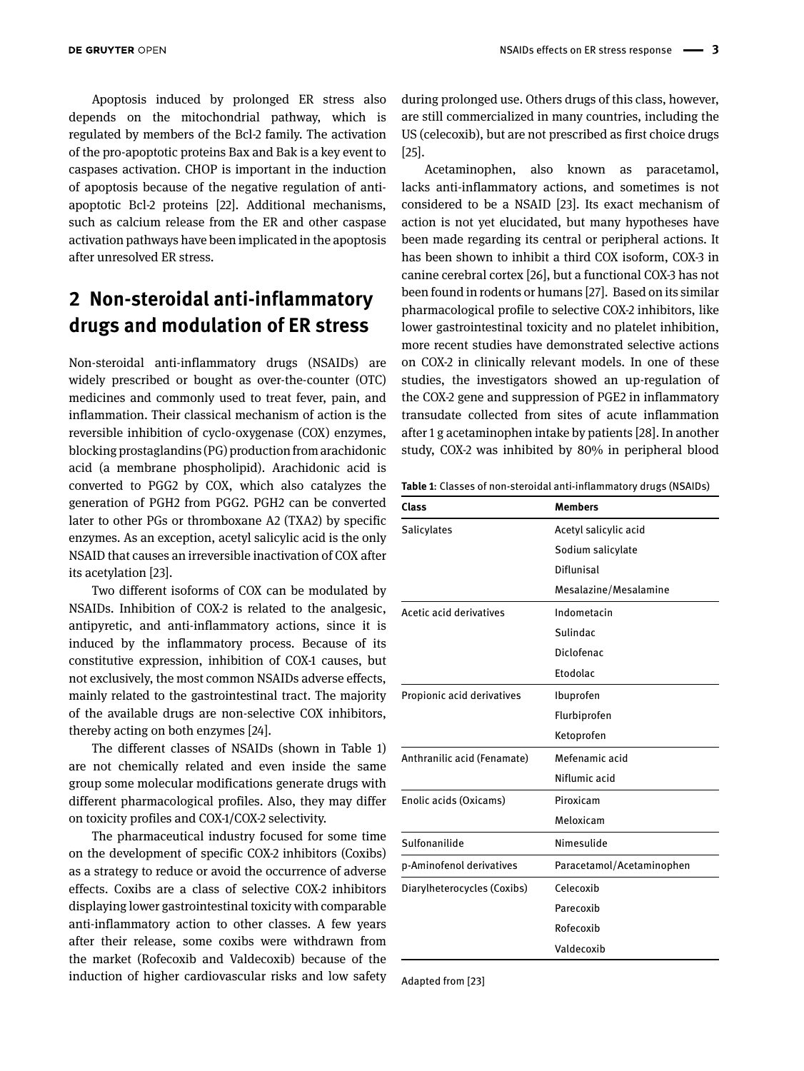Apoptosis induced by prolonged ER stress also depends on the mitochondrial pathway, which is regulated by members of the Bcl-2 family. The activation of the pro-apoptotic proteins Bax and Bak is a key event to caspases activation. CHOP is important in the induction of apoptosis because of the negative regulation of antiapoptotic Bcl-2 proteins [22]. Additional mechanisms, such as calcium release from the ER and other caspase activation pathways have been implicated in the apoptosis after unresolved ER stress.

## **2 Non-steroidal anti-inflammatory drugs and modulation of ER stress**

Non-steroidal anti-inflammatory drugs (NSAIDs) are widely prescribed or bought as over-the-counter (OTC) medicines and commonly used to treat fever, pain, and inflammation. Their classical mechanism of action is the reversible inhibition of cyclo-oxygenase (COX) enzymes, blocking prostaglandins (PG) production from arachidonic acid (a membrane phospholipid). Arachidonic acid is converted to PGG2 by COX, which also catalyzes the generation of PGH2 from PGG2. PGH2 can be converted later to other PGs or thromboxane A2 (TXA2) by specific enzymes. As an exception, acetyl salicylic acid is the only NSAID that causes an irreversible inactivation of COX after its acetylation [23].

Two different isoforms of COX can be modulated by NSAIDs. Inhibition of COX-2 is related to the analgesic, antipyretic, and anti-inflammatory actions, since it is induced by the inflammatory process. Because of its constitutive expression, inhibition of COX-1 causes, but not exclusively, the most common NSAIDs adverse effects, mainly related to the gastrointestinal tract. The majority of the available drugs are non-selective COX inhibitors, thereby acting on both enzymes [24].

The different classes of NSAIDs (shown in Table 1) are not chemically related and even inside the same group some molecular modifications generate drugs with different pharmacological profiles. Also, they may differ on toxicity profiles and COX-1/COX-2 selectivity.

The pharmaceutical industry focused for some time on the development of specific COX-2 inhibitors (Coxibs) as a strategy to reduce or avoid the occurrence of adverse effects. Coxibs are a class of selective COX-2 inhibitors displaying lower gastrointestinal toxicity with comparable anti-inflammatory action to other classes. A few years after their release, some coxibs were withdrawn from the market (Rofecoxib and Valdecoxib) because of the induction of higher cardiovascular risks and low safety

during prolonged use. Others drugs of this class, however, are still commercialized in many countries, including the US (celecoxib), but are not prescribed as first choice drugs [25].

Acetaminophen, also known as paracetamol, lacks anti-inflammatory actions, and sometimes is not considered to be a NSAID [23]. Its exact mechanism of action is not yet elucidated, but many hypotheses have been made regarding its central or peripheral actions. It has been shown to inhibit a third COX isoform, COX-3 in canine cerebral cortex [26], but a functional COX-3 has not been found in rodents or humans [27]. Based on its similar pharmacological profile to selective COX-2 inhibitors, like lower gastrointestinal toxicity and no platelet inhibition, more recent studies have demonstrated selective actions on COX-2 in clinically relevant models. In one of these studies, the investigators showed an up-regulation of the COX-2 gene and suppression of PGE2 in inflammatory transudate collected from sites of acute inflammation after 1 g acetaminophen intake by patients [28]. In another study, COX-2 was inhibited by 80% in peripheral blood

**Table 1**: Classes of non-steroidal anti-inflammatory drugs (NSAIDs)

| Class                       | <b>Members</b>            |
|-----------------------------|---------------------------|
| Salicylates                 | Acetyl salicylic acid     |
|                             | Sodium salicylate         |
|                             | Diflunisal                |
|                             | Mesalazine/Mesalamine     |
| Acetic acid derivatives     | Indometacin               |
|                             | Sulindac                  |
|                             | Diclofenac                |
|                             | <b>Ftodolac</b>           |
| Propionic acid derivatives  | Ibuprofen                 |
|                             | Flurbiprofen              |
|                             | Ketoprofen                |
| Anthranilic acid (Fenamate) | Mefenamic acid            |
|                             | Niflumic acid             |
| Enolic acids (Oxicams)      | Piroxicam                 |
|                             | Meloxicam                 |
| Sulfonanilide               | Nimesulide                |
| p-Aminofenol derivatives    | Paracetamol/Acetaminophen |
| Diarylheterocycles (Coxibs) | Celecoxib                 |
|                             | Parecoxib                 |
|                             | Rofecoxib                 |
|                             | Valdecoxib                |

Adapted from [23]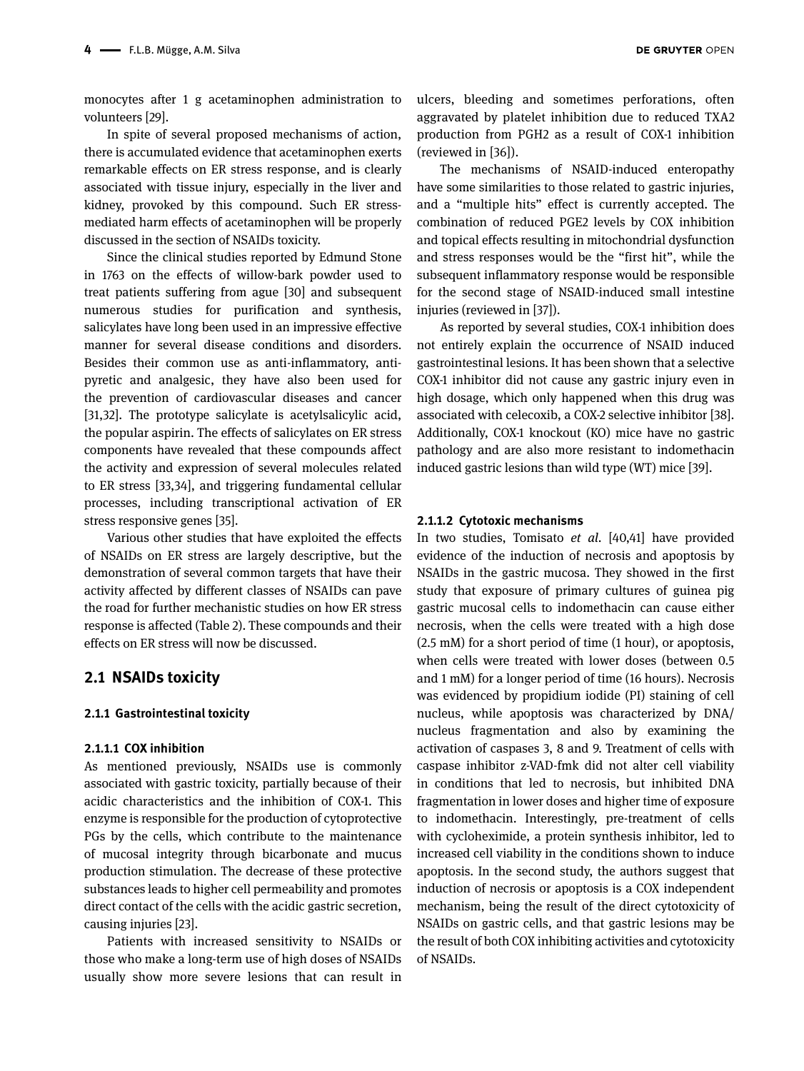monocytes after 1 g acetaminophen administration to volunteers [29].

In spite of several proposed mechanisms of action, there is accumulated evidence that acetaminophen exerts remarkable effects on ER stress response, and is clearly associated with tissue injury, especially in the liver and kidney, provoked by this compound. Such ER stressmediated harm effects of acetaminophen will be properly discussed in the section of NSAIDs toxicity.

Since the clinical studies reported by Edmund Stone in 1763 on the effects of willow-bark powder used to treat patients suffering from ague [30] and subsequent numerous studies for purification and synthesis, salicylates have long been used in an impressive effective manner for several disease conditions and disorders. Besides their common use as anti-inflammatory, antipyretic and analgesic, they have also been used for the prevention of cardiovascular diseases and cancer [31,32]. The prototype salicylate is acetylsalicylic acid, the popular aspirin. The effects of salicylates on ER stress components have revealed that these compounds affect the activity and expression of several molecules related to ER stress [33,34], and triggering fundamental cellular processes, including transcriptional activation of ER stress responsive genes [35].

Various other studies that have exploited the effects of NSAIDs on ER stress are largely descriptive, but the demonstration of several common targets that have their activity affected by different classes of NSAIDs can pave the road for further mechanistic studies on how ER stress response is affected (Table 2). These compounds and their effects on ER stress will now be discussed.

#### **2.1 NSAIDs toxicity**

#### **2.1.1 Gastrointestinal toxicity**

#### **2.1.1.1 COX inhibition**

As mentioned previously, NSAIDs use is commonly associated with gastric toxicity, partially because of their acidic characteristics and the inhibition of COX-1. This enzyme is responsible for the production of cytoprotective PGs by the cells, which contribute to the maintenance of mucosal integrity through bicarbonate and mucus production stimulation. The decrease of these protective substances leads to higher cell permeability and promotes direct contact of the cells with the acidic gastric secretion, causing injuries [23].

Patients with increased sensitivity to NSAIDs or those who make a long-term use of high doses of NSAIDs usually show more severe lesions that can result in

ulcers, bleeding and sometimes perforations, often aggravated by platelet inhibition due to reduced TXA2 production from PGH2 as a result of COX-1 inhibition (reviewed in [36]).

The mechanisms of NSAID-induced enteropathy have some similarities to those related to gastric injuries, and a "multiple hits" effect is currently accepted. The combination of reduced PGE2 levels by COX inhibition and topical effects resulting in mitochondrial dysfunction and stress responses would be the "first hit", while the subsequent inflammatory response would be responsible for the second stage of NSAID-induced small intestine injuries (reviewed in [37]).

As reported by several studies, COX-1 inhibition does not entirely explain the occurrence of NSAID induced gastrointestinal lesions. It has been shown that a selective COX-1 inhibitor did not cause any gastric injury even in high dosage, which only happened when this drug was associated with celecoxib, a COX-2 selective inhibitor [38]. Additionally, COX-1 knockout (KO) mice have no gastric pathology and are also more resistant to indomethacin induced gastric lesions than wild type (WT) mice [39].

#### **2.1.1.2 Cytotoxic mechanisms**

In two studies, Tomisato *et al.* [40,41] have provided evidence of the induction of necrosis and apoptosis by NSAIDs in the gastric mucosa. They showed in the first study that exposure of primary cultures of guinea pig gastric mucosal cells to indomethacin can cause either necrosis, when the cells were treated with a high dose (2.5 mM) for a short period of time (1 hour), or apoptosis, when cells were treated with lower doses (between 0.5 and 1 mM) for a longer period of time (16 hours). Necrosis was evidenced by propidium iodide (PI) staining of cell nucleus, while apoptosis was characterized by DNA/ nucleus fragmentation and also by examining the activation of caspases 3, 8 and 9. Treatment of cells with caspase inhibitor z-VAD-fmk did not alter cell viability in conditions that led to necrosis, but inhibited DNA fragmentation in lower doses and higher time of exposure to indomethacin. Interestingly, pre-treatment of cells with cycloheximide, a protein synthesis inhibitor, led to increased cell viability in the conditions shown to induce apoptosis. In the second study, the authors suggest that induction of necrosis or apoptosis is a COX independent mechanism, being the result of the direct cytotoxicity of NSAIDs on gastric cells, and that gastric lesions may be the result of both COX inhibiting activities and cytotoxicity of NSAIDs.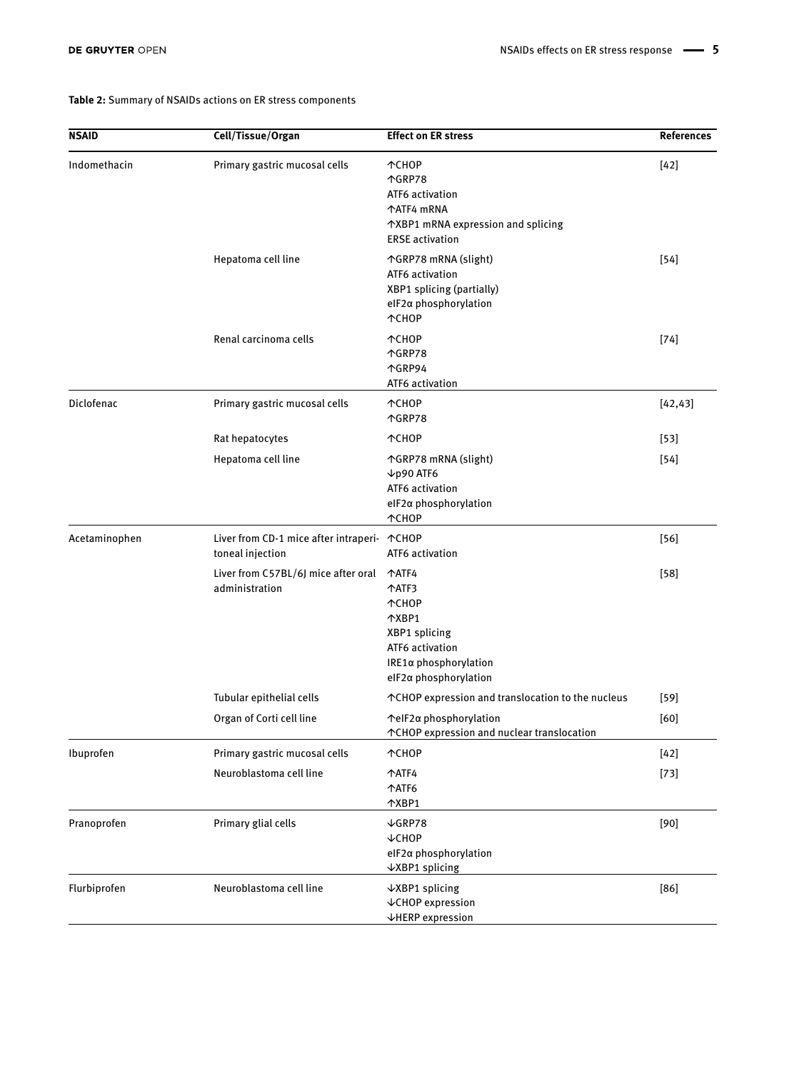#### **Table 2:** Summary of NSAIDs actions on ER stress components

| NSAID         | Cell/Tissue/Organ                                               | <b>Effect on ER stress</b>                                                                                                    | <b>References</b> |
|---------------|-----------------------------------------------------------------|-------------------------------------------------------------------------------------------------------------------------------|-------------------|
| Indomethacin  | Primary gastric mucosal cells                                   | 个CHOP<br>个GRP78<br>ATF6 activation<br>个ATF4 mRNA<br>↑XBP1 mRNA expression and splicing<br><b>ERSE</b> activation              | $[42]$            |
|               | Hepatoma cell line                                              | ↑GRP78 mRNA (slight)<br>ATF6 activation<br><b>XBP1</b> splicing (partially)<br>elF2α phosphorylation<br><b>MCHOP</b>          | $[54]$            |
|               | Renal carcinoma cells                                           | <b>TCHOP</b><br>个GRP78<br>个GRP94<br>ATF6 activation                                                                           | $[74]$            |
| Diclofenac    | Primary gastric mucosal cells                                   | 个CHOP<br>个GRP78                                                                                                               | [42, 43]          |
|               | Rat hepatocytes                                                 | ተCHOP                                                                                                                         | $[53]$            |
|               | Hepatoma cell line                                              | ↑GRP78 mRNA (slight)<br>$\nu$ p90 ATF6<br>ATF6 activation<br>elF2α phosphorylation<br><b>MCHOP</b>                            | $[54]$            |
| Acetaminophen | Liver from CD-1 mice after intraperi- ^CHOP<br>toneal injection | ATF6 activation                                                                                                               | $[56]$            |
|               | Liver from C57BL/6J mice after oral<br>administration           | 个ATF4<br>个ATF3<br><b>TCHOP</b><br>个XBP1<br>XBP1 splicing<br>ATF6 activation<br>IRE1α phosphorylation<br>elF2a phosphorylation | $[58]$            |
|               | Tubular epithelial cells                                        | ↑ CHOP expression and translocation to the nucleus                                                                            | $[59]$            |
|               | Organ of Corti cell line                                        | ↑elF2α phosphorylation<br>↑ CHOP expression and nuclear translocation                                                         | [60]              |
| Ibuprofen     | Primary gastric mucosal cells                                   | 个CHOP                                                                                                                         | $[42]$            |
|               | Neuroblastoma cell line                                         | 个ATF4<br>↑ATF6<br>个XBP1                                                                                                       | $[73]$            |
| Pranoprofen   | Primary glial cells                                             | $\sqrt{GRP78}$<br>$\downarrow$ CHOP<br>elF2a phosphorylation<br>↓XBP1 splicing                                                | $[90]$            |
| Flurbiprofen  | Neuroblastoma cell line                                         | $\sqrt{XBP1}$ splicing<br>↓CHOP expression<br><b>VHERP</b> expression                                                         | $[86]$            |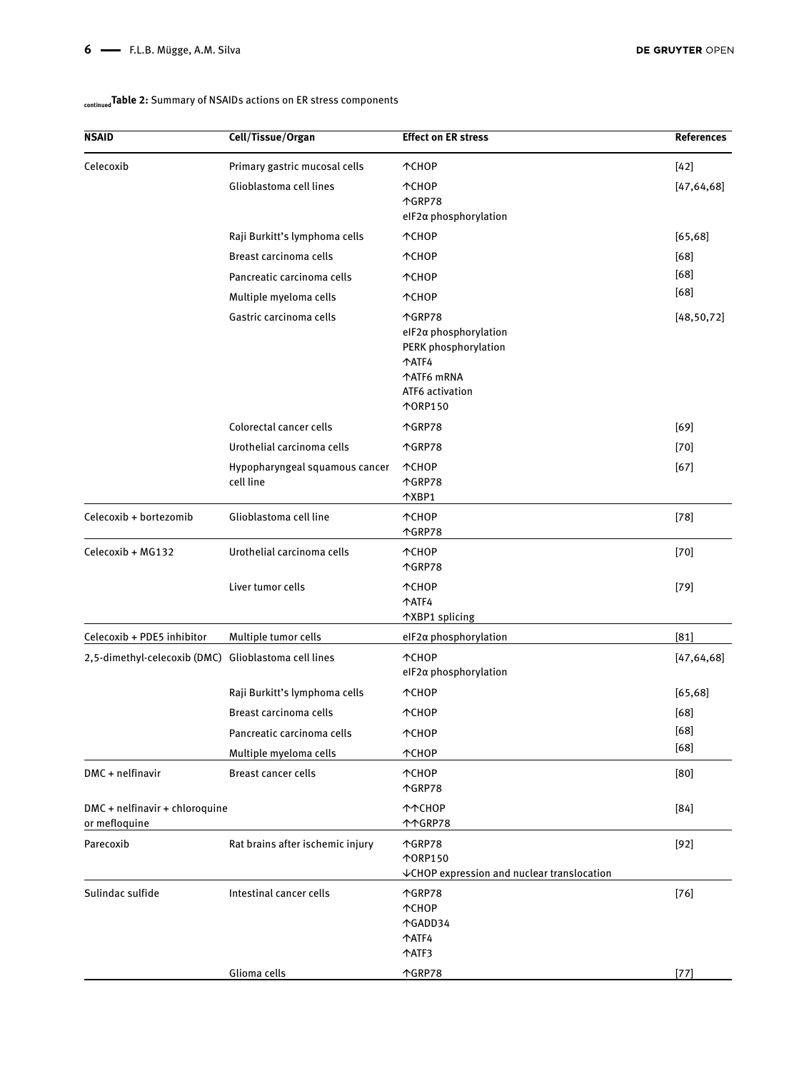#### **NSAID Cell/Tissue/Organ Effect on ER stress References** Celecoxib Primary gastric mucosal cells ↑CHOP [42] Glioblastoma cell lines ↑CHOP ↑GRP78 eIF2α phosphorylation [47,64,68] Raji Burkitt's lymphoma cells ↑CHOP [65,68] Breast carcinoma cells **↑CHOP blue and the contract of the contract of the contract of the contract of the contract of the contract of the contract of the contract of the contract of the contract of the contract of the** [68] [68] Pancreatic carcinoma cells ↑CHOP Multiple myeloma cells ↑CHOP Gastric carcinoma cells **↑GRP78** eIF2α phosphorylation PERK phosphorylation ↑ATF4 ↑ATF6 mRNA ATF6 activation ↑ORP150 [48,50,72] Colorectal cancer cells ↑GRP78 [69] Urothelial carcinoma cells ↑GRP78 [70] Hypopharyngeal squamous cancer cell line ↑CHOP ↑GRP78 ↑XBP1 [67] Celecoxib + bortezomib Glioblastoma cell line ↑CHOP ↑GRP78 [78] Celecoxib + MG132 Urothelial carcinoma cells ↑CHOP ↑GRP78 [70] Liver tumor cells **↑CHOP** ↑ATF4 ↑XBP1 splicing [79] Celecoxib + PDE5 inhibitor Multiple tumor cells eIF2α phosphorylation [81] 2,5-dimethyl-celecoxib (DMC) Glioblastoma cell lines ↑CHOP eIF2α phosphorylation [47,64,68] Raji Burkitt's lymphoma cells ↑CHOP [65,68] Breast carcinoma cells ↑CHOP [68] [68] [68] Pancreatic carcinoma cells ↑CHOP Multiple myeloma cells ↑CHOP DMC + nelfinavir Breast cancer cells ↑CHOP ↑GRP78 [80] DMC + nelfinavir + chloroquine or mefloquine ↑↑CHOP ↑↑GRP78 [84] Parecoxib Rat brains after ischemic injury ↑GRP78 ↑ORP150 ↓CHOP expression and nuclear translocation [92] Sulindac sulfide Intestinal cancer cells ↑GRP78 ↑CHOP ↑GADD34 ↑ATF4 ↑ATF3 [76] Glioma cells **1986 1986 1986 1986 1987 1988 1988 1988 1988 1988 1988 1988 1988 1988 1988 1988 1988 1988 1988 1988 1988 1988 1988 1988 1988 1988 1988 1988 1988 1988**

#### **continuedTable 2:** Summary of NSAIDs actions on ER stress components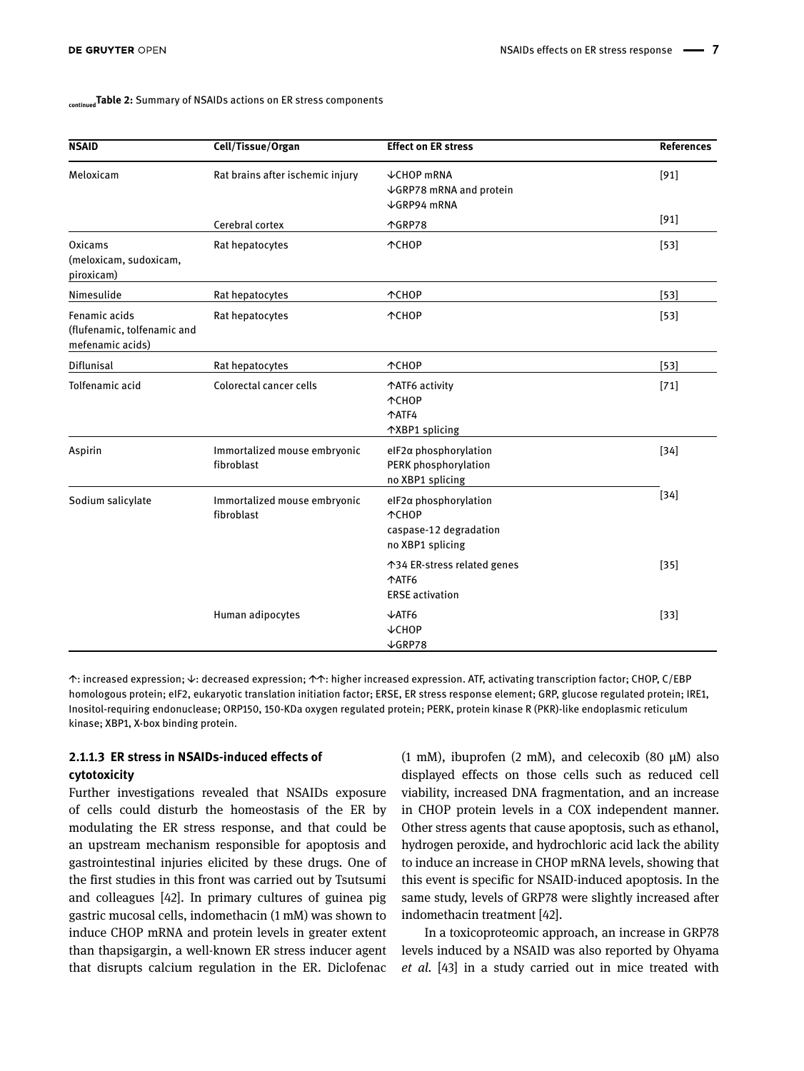#### **continued Table 2:** Summary of NSAIDs actions on ER stress components

| <b>NSAID</b>                                                     | Cell/Tissue/Organ                          | <b>Effect on ER stress</b>                                                          | <b>References</b> |
|------------------------------------------------------------------|--------------------------------------------|-------------------------------------------------------------------------------------|-------------------|
| Meloxicam                                                        | Rat brains after ischemic injury           | <b>↓CHOP mRNA</b><br>↓GRP78 mRNA and protein<br>$\sqrt{GRP94}$ mRNA                 | $[91]$            |
|                                                                  | Cerebral cortex                            | 个GRP78                                                                              | $[91]$            |
| Oxicams<br>(meloxicam, sudoxicam,<br>piroxicam)                  | Rat hepatocytes                            | 个CHOP                                                                               | $[53]$            |
| Nimesulide                                                       | Rat hepatocytes                            | <b>MCHOP</b>                                                                        | $[53]$            |
| Fenamic acids<br>(flufenamic, tolfenamic and<br>mefenamic acids) | Rat hepatocytes                            | <b>TCHOP</b>                                                                        | $[53]$            |
| Diflunisal                                                       | Rat hepatocytes                            | <b>MCHOP</b>                                                                        | $[53]$            |
| Tolfenamic acid                                                  | Colorectal cancer cells                    | ↑ATF6 activity<br>个CHOP<br><b>TATF4</b><br>个XBP1 splicing                           | $[71]$            |
| Aspirin                                                          | Immortalized mouse embryonic<br>fibroblast | elF2a phosphorylation<br>PERK phosphorylation<br>no XBP1 splicing                   | $[34]$            |
| Sodium salicylate                                                | Immortalized mouse embryonic<br>fibroblast | elF2a phosphorylation<br><b>MCHOP</b><br>caspase-12 degradation<br>no XBP1 splicing | $[34]$            |
|                                                                  |                                            | ↑34 ER-stress related genes<br><b>MATF6</b><br><b>ERSE</b> activation               | $[35]$            |
|                                                                  | Human adipocytes                           | $\sqrt{ATF6}$<br>$\downarrow$ CHOP<br>$\sqrt{GRP}$ 78                               | $[33]$            |

↑: increased expression; ↓: decreased expression; ↑↑: higher increased expression. ATF, activating transcription factor; CHOP, C/EBP homologous protein; eIF2, eukaryotic translation initiation factor; ERSE, ER stress response element; GRP, glucose regulated protein; IRE1, Inositol-requiring endonuclease; ORP150, 150-KDa oxygen regulated protein; PERK, protein kinase R (PKR)-like endoplasmic reticulum kinase; XBP1, X-box binding protein.

#### **2.1.1.3 ER stress in NSAIDs-induced effects of cytotoxicity**

Further investigations revealed that NSAIDs exposure of cells could disturb the homeostasis of the ER by modulating the ER stress response, and that could be an upstream mechanism responsible for apoptosis and gastrointestinal injuries elicited by these drugs. One of the first studies in this front was carried out by Tsutsumi and colleagues [42]. In primary cultures of guinea pig gastric mucosal cells, indomethacin (1 mM) was shown to induce CHOP mRNA and protein levels in greater extent than thapsigargin, a well-known ER stress inducer agent that disrupts calcium regulation in the ER. Diclofenac

(1 mM), ibuprofen (2 mM), and celecoxib (80  $\mu$ M) also displayed effects on those cells such as reduced cell viability, increased DNA fragmentation, and an increase in CHOP protein levels in a COX independent manner. Other stress agents that cause apoptosis, such as ethanol, hydrogen peroxide, and hydrochloric acid lack the ability to induce an increase in CHOP mRNA levels, showing that this event is specific for NSAID-induced apoptosis. In the same study, levels of GRP78 were slightly increased after indomethacin treatment [42].

In a toxicoproteomic approach, an increase in GRP78 levels induced by a NSAID was also reported by Ohyama *et al.* [43] in a study carried out in mice treated with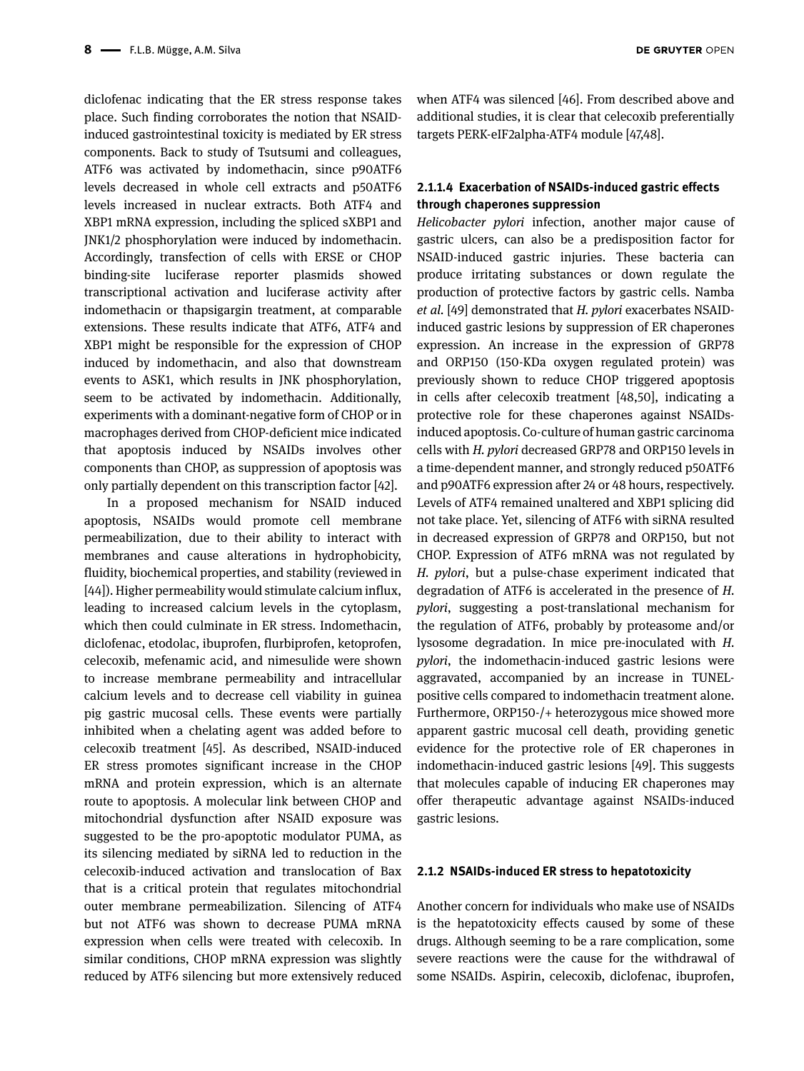diclofenac indicating that the ER stress response takes place. Such finding corroborates the notion that NSAIDinduced gastrointestinal toxicity is mediated by ER stress components. Back to study of Tsutsumi and colleagues, ATF6 was activated by indomethacin, since p90ATF6 levels decreased in whole cell extracts and p50ATF6 levels increased in nuclear extracts. Both ATF4 and XBP1 mRNA expression, including the spliced sXBP1 and JNK1/2 phosphorylation were induced by indomethacin. Accordingly, transfection of cells with ERSE or CHOP binding-site luciferase reporter plasmids showed transcriptional activation and luciferase activity after indomethacin or thapsigargin treatment, at comparable extensions. These results indicate that ATF6, ATF4 and XBP1 might be responsible for the expression of CHOP induced by indomethacin, and also that downstream events to ASK1, which results in JNK phosphorylation, seem to be activated by indomethacin. Additionally, experiments with a dominant-negative form of CHOP or in macrophages derived from CHOP-deficient mice indicated that apoptosis induced by NSAIDs involves other components than CHOP, as suppression of apoptosis was only partially dependent on this transcription factor [42].

In a proposed mechanism for NSAID induced apoptosis, NSAIDs would promote cell membrane permeabilization, due to their ability to interact with membranes and cause alterations in hydrophobicity, fluidity, biochemical properties, and stability (reviewed in [44]). Higher permeability would stimulate calcium influx, leading to increased calcium levels in the cytoplasm, which then could culminate in ER stress. Indomethacin, diclofenac, etodolac, ibuprofen, flurbiprofen, ketoprofen, celecoxib, mefenamic acid, and nimesulide were shown to increase membrane permeability and intracellular calcium levels and to decrease cell viability in guinea pig gastric mucosal cells. These events were partially inhibited when a chelating agent was added before to celecoxib treatment [45]. As described, NSAID-induced ER stress promotes significant increase in the CHOP mRNA and protein expression, which is an alternate route to apoptosis. A molecular link between CHOP and mitochondrial dysfunction after NSAID exposure was suggested to be the pro-apoptotic modulator PUMA, as its silencing mediated by siRNA led to reduction in the celecoxib-induced activation and translocation of Bax that is a critical protein that regulates mitochondrial outer membrane permeabilization. Silencing of ATF4 but not ATF6 was shown to decrease PUMA mRNA expression when cells were treated with celecoxib. In similar conditions, CHOP mRNA expression was slightly reduced by ATF6 silencing but more extensively reduced

when ATF4 was silenced [46]. From described above and additional studies, it is clear that celecoxib preferentially targets PERK-eIF2alpha-ATF4 module [47,48].

### **2.1.1.4 Exacerbation of NSAIDs-induced gastric effects through chaperones suppression**

*Helicobacter pylori* infection, another major cause of gastric ulcers, can also be a predisposition factor for NSAID-induced gastric injuries. These bacteria can produce irritating substances or down regulate the production of protective factors by gastric cells. Namba *et al.* [49] demonstrated that *H. pylori* exacerbates NSAIDinduced gastric lesions by suppression of ER chaperones expression. An increase in the expression of GRP78 and ORP150 (150-KDa oxygen regulated protein) was previously shown to reduce CHOP triggered apoptosis in cells after celecoxib treatment [48,50], indicating a protective role for these chaperones against NSAIDsinduced apoptosis. Co-culture of human gastric carcinoma cells with *H. pylori* decreased GRP78 and ORP150 levels in a time-dependent manner, and strongly reduced p50ATF6 and p90ATF6 expression after 24 or 48 hours, respectively. Levels of ATF4 remained unaltered and XBP1 splicing did not take place. Yet, silencing of ATF6 with siRNA resulted in decreased expression of GRP78 and ORP150, but not CHOP. Expression of ATF6 mRNA was not regulated by *H. pylori*, but a pulse-chase experiment indicated that degradation of ATF6 is accelerated in the presence of *H. pylori*, suggesting a post-translational mechanism for the regulation of ATF6, probably by proteasome and/or lysosome degradation. In mice pre-inoculated with *H. pylori*, the indomethacin-induced gastric lesions were aggravated, accompanied by an increase in TUNELpositive cells compared to indomethacin treatment alone. Furthermore, ORP150-/+ heterozygous mice showed more apparent gastric mucosal cell death, providing genetic evidence for the protective role of ER chaperones in indomethacin-induced gastric lesions [49]. This suggests that molecules capable of inducing ER chaperones may offer therapeutic advantage against NSAIDs-induced gastric lesions.

#### **2.1.2 NSAIDs-induced ER stress to hepatotoxicity**

Another concern for individuals who make use of NSAIDs is the hepatotoxicity effects caused by some of these drugs. Although seeming to be a rare complication, some severe reactions were the cause for the withdrawal of some NSAIDs. Aspirin, celecoxib, diclofenac, ibuprofen,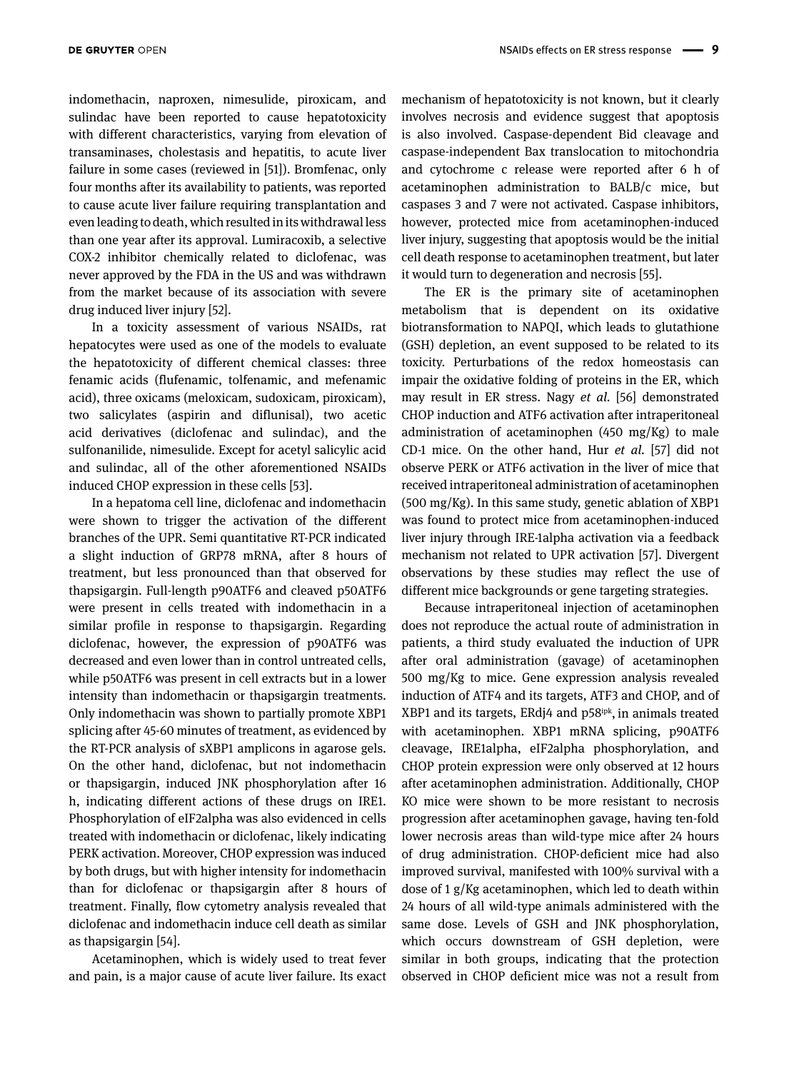indomethacin, naproxen, nimesulide, piroxicam, and sulindac have been reported to cause hepatotoxicity with different characteristics, varying from elevation of transaminases, cholestasis and hepatitis, to acute liver failure in some cases (reviewed in [51]). Bromfenac, only four months after its availability to patients, was reported to cause acute liver failure requiring transplantation and even leading to death, which resulted in its withdrawal less than one year after its approval. Lumiracoxib, a selective COX-2 inhibitor chemically related to diclofenac, was never approved by the FDA in the US and was withdrawn from the market because of its association with severe drug induced liver injury [52].

In a toxicity assessment of various NSAIDs, rat hepatocytes were used as one of the models to evaluate the hepatotoxicity of different chemical classes: three fenamic acids (flufenamic, tolfenamic, and mefenamic acid), three oxicams (meloxicam, sudoxicam, piroxicam), two salicylates (aspirin and diflunisal), two acetic acid derivatives (diclofenac and sulindac), and the sulfonanilide, nimesulide. Except for acetyl salicylic acid and sulindac, all of the other aforementioned NSAIDs induced CHOP expression in these cells [53].

In a hepatoma cell line, diclofenac and indomethacin were shown to trigger the activation of the different branches of the UPR. Semi quantitative RT-PCR indicated a slight induction of GRP78 mRNA, after 8 hours of treatment, but less pronounced than that observed for thapsigargin. Full-length p90ATF6 and cleaved p50ATF6 were present in cells treated with indomethacin in a similar profile in response to thapsigargin. Regarding diclofenac, however, the expression of p90ATF6 was decreased and even lower than in control untreated cells, while p50ATF6 was present in cell extracts but in a lower intensity than indomethacin or thapsigargin treatments. Only indomethacin was shown to partially promote XBP1 splicing after 45-60 minutes of treatment, as evidenced by the RT-PCR analysis of sXBP1 amplicons in agarose gels. On the other hand, diclofenac, but not indomethacin or thapsigargin, induced JNK phosphorylation after 16 h, indicating different actions of these drugs on IRE1. Phosphorylation of eIF2alpha was also evidenced in cells treated with indomethacin or diclofenac, likely indicating PERK activation. Moreover, CHOP expression was induced by both drugs, but with higher intensity for indomethacin than for diclofenac or thapsigargin after 8 hours of treatment. Finally, flow cytometry analysis revealed that diclofenac and indomethacin induce cell death as similar as thapsigargin [54].

Acetaminophen, which is widely used to treat fever and pain, is a major cause of acute liver failure. Its exact mechanism of hepatotoxicity is not known, but it clearly involves necrosis and evidence suggest that apoptosis is also involved. Caspase-dependent Bid cleavage and caspase-independent Bax translocation to mitochondria and cytochrome c release were reported after 6 h of acetaminophen administration to BALB/c mice, but caspases 3 and 7 were not activated. Caspase inhibitors, however, protected mice from acetaminophen-induced liver injury, suggesting that apoptosis would be the initial cell death response to acetaminophen treatment, but later it would turn to degeneration and necrosis [55].

The ER is the primary site of acetaminophen metabolism that is dependent on its oxidative biotransformation to NAPQI, which leads to glutathione (GSH) depletion, an event supposed to be related to its toxicity. Perturbations of the redox homeostasis can impair the oxidative folding of proteins in the ER, which may result in ER stress. Nagy *et al.* [56] demonstrated CHOP induction and ATF6 activation after intraperitoneal administration of acetaminophen (450 mg/Kg) to male CD-1 mice. On the other hand, Hur *et al.* [57] did not observe PERK or ATF6 activation in the liver of mice that received intraperitoneal administration of acetaminophen (500 mg/Kg). In this same study, genetic ablation of XBP1 was found to protect mice from acetaminophen-induced liver injury through IRE-1alpha activation via a feedback mechanism not related to UPR activation [57]. Divergent observations by these studies may reflect the use of different mice backgrounds or gene targeting strategies.

Because intraperitoneal injection of acetaminophen does not reproduce the actual route of administration in patients, a third study evaluated the induction of UPR after oral administration (gavage) of acetaminophen 500 mg/Kg to mice. Gene expression analysis revealed induction of ATF4 and its targets, ATF3 and CHOP, and of XBP1 and its targets, ERdj4 and p58ipk, in animals treated with acetaminophen. XBP1 mRNA splicing, p90ATF6 cleavage, IRE1alpha, eIF2alpha phosphorylation, and CHOP protein expression were only observed at 12 hours after acetaminophen administration. Additionally, CHOP KO mice were shown to be more resistant to necrosis progression after acetaminophen gavage, having ten-fold lower necrosis areas than wild-type mice after 24 hours of drug administration. CHOP-deficient mice had also improved survival, manifested with 100% survival with a dose of 1 g/Kg acetaminophen, which led to death within 24 hours of all wild-type animals administered with the same dose. Levels of GSH and JNK phosphorylation, which occurs downstream of GSH depletion, were similar in both groups, indicating that the protection observed in CHOP deficient mice was not a result from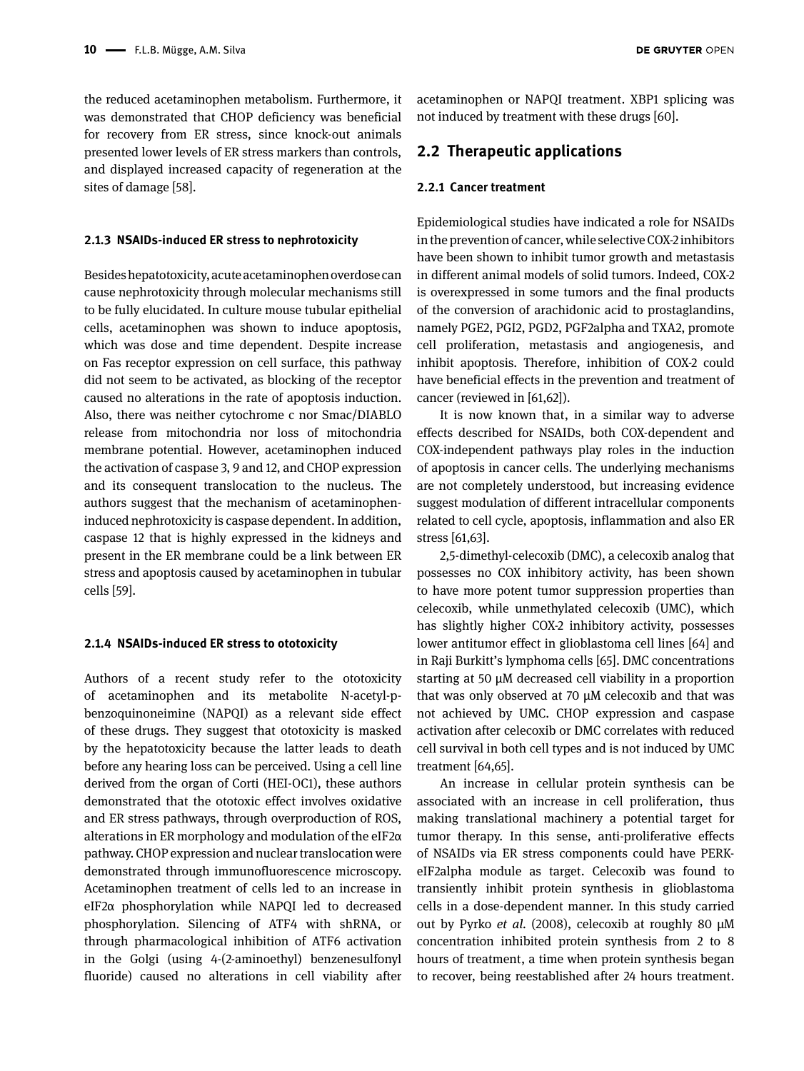the reduced acetaminophen metabolism. Furthermore, it was demonstrated that CHOP deficiency was beneficial for recovery from ER stress, since knock-out animals presented lower levels of ER stress markers than controls, and displayed increased capacity of regeneration at the sites of damage [58].

#### **2.1.3 NSAIDs-induced ER stress to nephrotoxicity**

Besides hepatotoxicity, acute acetaminophen overdose can cause nephrotoxicity through molecular mechanisms still to be fully elucidated. In culture mouse tubular epithelial cells, acetaminophen was shown to induce apoptosis, which was dose and time dependent. Despite increase on Fas receptor expression on cell surface, this pathway did not seem to be activated, as blocking of the receptor caused no alterations in the rate of apoptosis induction. Also, there was neither cytochrome c nor Smac/DIABLO release from mitochondria nor loss of mitochondria membrane potential. However, acetaminophen induced the activation of caspase 3, 9 and 12, and CHOP expression and its consequent translocation to the nucleus. The authors suggest that the mechanism of acetaminopheninduced nephrotoxicity is caspase dependent. In addition, caspase 12 that is highly expressed in the kidneys and present in the ER membrane could be a link between ER stress and apoptosis caused by acetaminophen in tubular cells [59].

#### **2.1.4 NSAIDs-induced ER stress to ototoxicity**

Authors of a recent study refer to the ototoxicity of acetaminophen and its metabolite N-acetyl-pbenzoquinoneimine (NAPQI) as a relevant side effect of these drugs. They suggest that ototoxicity is masked by the hepatotoxicity because the latter leads to death before any hearing loss can be perceived. Using a cell line derived from the organ of Corti (HEI-OC1), these authors demonstrated that the ototoxic effect involves oxidative and ER stress pathways, through overproduction of ROS, alterations in ER morphology and modulation of the eIF2α pathway. CHOP expression and nuclear translocation were demonstrated through immunofluorescence microscopy. Acetaminophen treatment of cells led to an increase in eIF2α phosphorylation while NAPQI led to decreased phosphorylation. Silencing of ATF4 with shRNA, or through pharmacological inhibition of ATF6 activation in the Golgi (using 4-(2-aminoethyl) benzenesulfonyl fluoride) caused no alterations in cell viability after

acetaminophen or NAPQI treatment. XBP1 splicing was not induced by treatment with these drugs [60].

### **2.2 Therapeutic applications**

#### **2.2.1 Cancer treatment**

Epidemiological studies have indicated a role for NSAIDs in the prevention of cancer, while selective COX-2 inhibitors have been shown to inhibit tumor growth and metastasis in different animal models of solid tumors. Indeed, COX-2 is overexpressed in some tumors and the final products of the conversion of arachidonic acid to prostaglandins, namely PGE2, PGI2, PGD2, PGF2alpha and TXA2, promote cell proliferation, metastasis and angiogenesis, and inhibit apoptosis. Therefore, inhibition of COX-2 could have beneficial effects in the prevention and treatment of cancer (reviewed in [61,62]).

It is now known that, in a similar way to adverse effects described for NSAIDs, both COX-dependent and COX-independent pathways play roles in the induction of apoptosis in cancer cells. The underlying mechanisms are not completely understood, but increasing evidence suggest modulation of different intracellular components related to cell cycle, apoptosis, inflammation and also ER stress [61,63].

2,5-dimethyl-celecoxib (DMC), a celecoxib analog that possesses no COX inhibitory activity, has been shown to have more potent tumor suppression properties than celecoxib, while unmethylated celecoxib (UMC), which has slightly higher COX-2 inhibitory activity, possesses lower antitumor effect in glioblastoma cell lines [64] and in Raji Burkitt's lymphoma cells [65]. DMC concentrations starting at 50 µM decreased cell viability in a proportion that was only observed at 70 µM celecoxib and that was not achieved by UMC. CHOP expression and caspase activation after celecoxib or DMC correlates with reduced cell survival in both cell types and is not induced by UMC treatment [64,65].

An increase in cellular protein synthesis can be associated with an increase in cell proliferation, thus making translational machinery a potential target for tumor therapy. In this sense, anti-proliferative effects of NSAIDs via ER stress components could have PERKeIF2alpha module as target. Celecoxib was found to transiently inhibit protein synthesis in glioblastoma cells in a dose-dependent manner. In this study carried out by Pyrko *et al.* (2008), celecoxib at roughly 80 µM concentration inhibited protein synthesis from 2 to 8 hours of treatment, a time when protein synthesis began to recover, being reestablished after 24 hours treatment.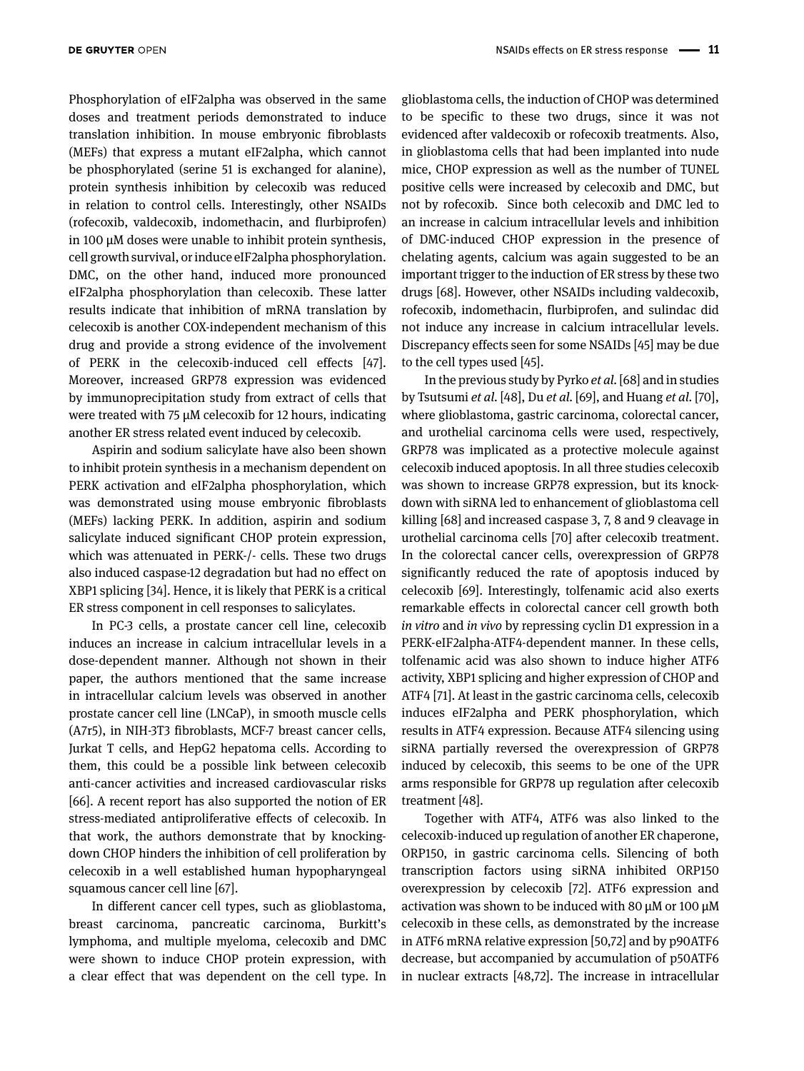Phosphorylation of eIF2alpha was observed in the same doses and treatment periods demonstrated to induce translation inhibition. In mouse embryonic fibroblasts (MEFs) that express a mutant eIF2alpha, which cannot be phosphorylated (serine 51 is exchanged for alanine), protein synthesis inhibition by celecoxib was reduced in relation to control cells. Interestingly, other NSAIDs (rofecoxib, valdecoxib, indomethacin, and flurbiprofen) in 100 µM doses were unable to inhibit protein synthesis, cell growth survival, or induce eIF2alpha phosphorylation. DMC, on the other hand, induced more pronounced eIF2alpha phosphorylation than celecoxib. These latter results indicate that inhibition of mRNA translation by celecoxib is another COX-independent mechanism of this drug and provide a strong evidence of the involvement of PERK in the celecoxib-induced cell effects [47]. Moreover, increased GRP78 expression was evidenced by immunoprecipitation study from extract of cells that were treated with 75 µM celecoxib for 12 hours, indicating another ER stress related event induced by celecoxib.

Aspirin and sodium salicylate have also been shown to inhibit protein synthesis in a mechanism dependent on PERK activation and eIF2alpha phosphorylation, which was demonstrated using mouse embryonic fibroblasts (MEFs) lacking PERK. In addition, aspirin and sodium salicylate induced significant CHOP protein expression, which was attenuated in PERK-/- cells. These two drugs also induced caspase-12 degradation but had no effect on XBP1 splicing [34]. Hence, it is likely that PERK is a critical ER stress component in cell responses to salicylates.

In PC-3 cells, a prostate cancer cell line, celecoxib induces an increase in calcium intracellular levels in a dose-dependent manner. Although not shown in their paper, the authors mentioned that the same increase in intracellular calcium levels was observed in another prostate cancer cell line (LNCaP), in smooth muscle cells (A7r5), in NIH-3T3 fibroblasts, MCF-7 breast cancer cells, Jurkat T cells, and HepG2 hepatoma cells. According to them, this could be a possible link between celecoxib anti-cancer activities and increased cardiovascular risks [66]. A recent report has also supported the notion of ER stress-mediated antiproliferative effects of celecoxib. In that work, the authors demonstrate that by knockingdown CHOP hinders the inhibition of cell proliferation by celecoxib in a well established human hypopharyngeal squamous cancer cell line [67].

In different cancer cell types, such as glioblastoma, breast carcinoma, pancreatic carcinoma, Burkitt's lymphoma, and multiple myeloma, celecoxib and DMC were shown to induce CHOP protein expression, with a clear effect that was dependent on the cell type. In

glioblastoma cells, the induction of CHOP was determined to be specific to these two drugs, since it was not evidenced after valdecoxib or rofecoxib treatments. Also, in glioblastoma cells that had been implanted into nude mice, CHOP expression as well as the number of TUNEL positive cells were increased by celecoxib and DMC, but not by rofecoxib. Since both celecoxib and DMC led to an increase in calcium intracellular levels and inhibition of DMC-induced CHOP expression in the presence of chelating agents, calcium was again suggested to be an important trigger to the induction of ER stress by these two drugs [68]. However, other NSAIDs including valdecoxib, rofecoxib, indomethacin, flurbiprofen, and sulindac did not induce any increase in calcium intracellular levels. Discrepancy effects seen for some NSAIDs [45] may be due to the cell types used [45].

In the previous study by Pyrko *et al.* [68] and in studies by Tsutsumi *et al.* [48], Du *et al.* [69], and Huang *et al.* [70], where glioblastoma, gastric carcinoma, colorectal cancer, and urothelial carcinoma cells were used, respectively, GRP78 was implicated as a protective molecule against celecoxib induced apoptosis. In all three studies celecoxib was shown to increase GRP78 expression, but its knockdown with siRNA led to enhancement of glioblastoma cell killing [68] and increased caspase 3, 7, 8 and 9 cleavage in urothelial carcinoma cells [70] after celecoxib treatment. In the colorectal cancer cells, overexpression of GRP78 significantly reduced the rate of apoptosis induced by celecoxib [69]. Interestingly, tolfenamic acid also exerts remarkable effects in colorectal cancer cell growth both *in vitro* and *in vivo* by repressing cyclin D1 expression in a PERK-eIF2alpha-ATF4-dependent manner. In these cells, tolfenamic acid was also shown to induce higher ATF6 activity, XBP1 splicing and higher expression of CHOP and ATF4 [71]. At least in the gastric carcinoma cells, celecoxib induces eIF2alpha and PERK phosphorylation, which results in ATF4 expression. Because ATF4 silencing using siRNA partially reversed the overexpression of GRP78 induced by celecoxib, this seems to be one of the UPR arms responsible for GRP78 up regulation after celecoxib treatment [48].

Together with ATF4, ATF6 was also linked to the celecoxib-induced up regulation of another ER chaperone, ORP150, in gastric carcinoma cells. Silencing of both transcription factors using siRNA inhibited ORP150 overexpression by celecoxib [72]. ATF6 expression and activation was shown to be induced with 80 µM or 100 µM celecoxib in these cells, as demonstrated by the increase in ATF6 mRNA relative expression [50,72] and by p90ATF6 decrease, but accompanied by accumulation of p50ATF6 in nuclear extracts [48,72]. The increase in intracellular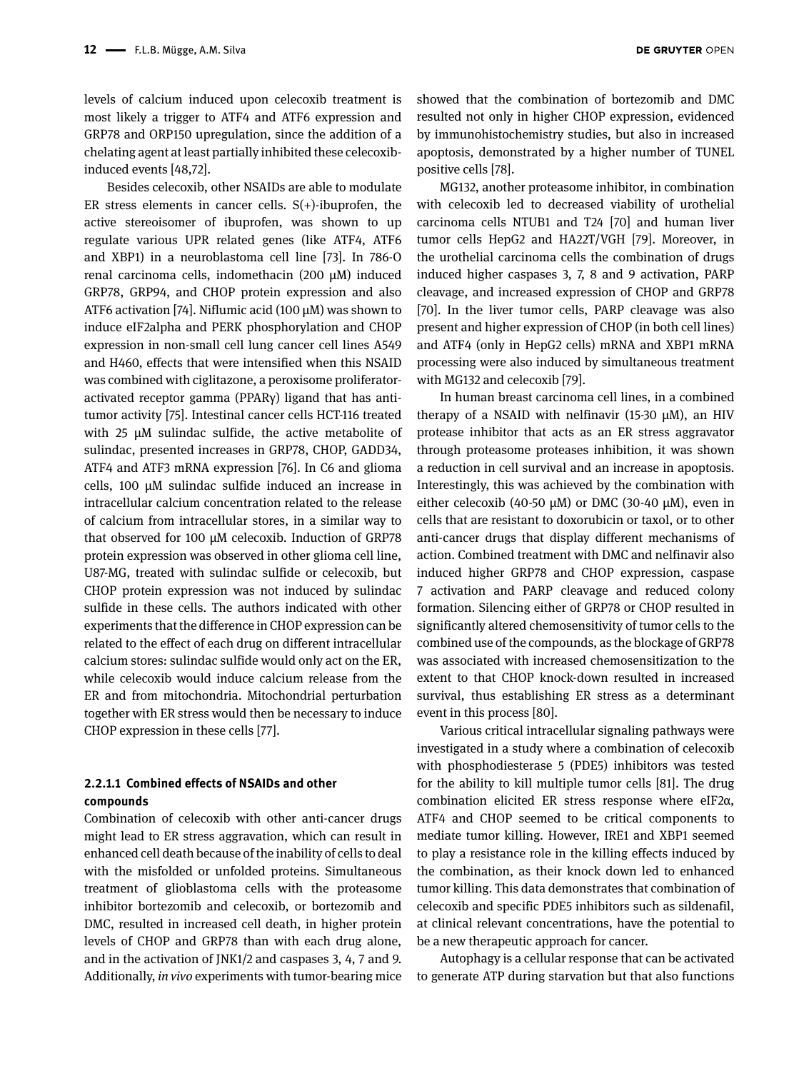**DE GRUYTER OPEN** 

levels of calcium induced upon celecoxib treatment is most likely a trigger to ATF4 and ATF6 expression and GRP78 and ORP150 upregulation, since the addition of a chelating agent at least partially inhibited these celecoxibinduced events [48,72].

Besides celecoxib, other NSAIDs are able to modulate ER stress elements in cancer cells.  $S(+)$ -ibuprofen, the active stereoisomer of ibuprofen, was shown to up regulate various UPR related genes (like ATF4, ATF6 and XBP1) in a neuroblastoma cell line [73]. In 786-O renal carcinoma cells, indomethacin (200 µM) induced GRP78, GRP94, and CHOP protein expression and also ATF6 activation [74]. Niflumic acid (100 µM) was shown to induce eIF2alpha and PERK phosphorylation and CHOP expression in non-small cell lung cancer cell lines A549 and H460, effects that were intensified when this NSAID was combined with ciglitazone, a peroxisome proliferatoractivated receptor gamma (PPARγ) ligand that has antitumor activity [75]. Intestinal cancer cells HCT-116 treated with 25 µM sulindac sulfide, the active metabolite of sulindac, presented increases in GRP78, CHOP, GADD34, ATF4 and ATF3 mRNA expression [76]. In C6 and glioma cells, 100 µM sulindac sulfide induced an increase in intracellular calcium concentration related to the release of calcium from intracellular stores, in a similar way to that observed for 100 µM celecoxib. Induction of GRP78 protein expression was observed in other glioma cell line, U87-MG, treated with sulindac sulfide or celecoxib, but CHOP protein expression was not induced by sulindac sulfide in these cells. The authors indicated with other experiments that the difference in CHOP expression can be related to the effect of each drug on different intracellular calcium stores: sulindac sulfide would only act on the ER, while celecoxib would induce calcium release from the ER and from mitochondria. Mitochondrial perturbation together with ER stress would then be necessary to induce CHOP expression in these cells [77].

#### **2.2.1.1 Combined effects of NSAIDs and other compounds**

Combination of celecoxib with other anti-cancer drugs might lead to ER stress aggravation, which can result in enhanced cell death because of the inability of cells to deal with the misfolded or unfolded proteins. Simultaneous treatment of glioblastoma cells with the proteasome inhibitor bortezomib and celecoxib, or bortezomib and DMC, resulted in increased cell death, in higher protein levels of CHOP and GRP78 than with each drug alone, and in the activation of JNK1/2 and caspases 3, 4, 7 and 9. Additionally, *in vivo* experiments with tumor-bearing mice

showed that the combination of bortezomib and DMC resulted not only in higher CHOP expression, evidenced by immunohistochemistry studies, but also in increased apoptosis, demonstrated by a higher number of TUNEL positive cells [78].

MG132, another proteasome inhibitor, in combination with celecoxib led to decreased viability of urothelial carcinoma cells NTUB1 and T24 [70] and human liver tumor cells HepG2 and HA22T/VGH [79]. Moreover, in the urothelial carcinoma cells the combination of drugs induced higher caspases 3, 7, 8 and 9 activation, PARP cleavage, and increased expression of CHOP and GRP78 [70]. In the liver tumor cells, PARP cleavage was also present and higher expression of CHOP (in both cell lines) and ATF4 (only in HepG2 cells) mRNA and XBP1 mRNA processing were also induced by simultaneous treatment with MG132 and celecoxib [79].

In human breast carcinoma cell lines, in a combined therapy of a NSAID with nelfinavir (15-30  $\mu$ M), an HIV protease inhibitor that acts as an ER stress aggravator through proteasome proteases inhibition, it was shown a reduction in cell survival and an increase in apoptosis. Interestingly, this was achieved by the combination with either celecoxib (40-50  $\mu$ M) or DMC (30-40  $\mu$ M), even in cells that are resistant to doxorubicin or taxol, or to other anti-cancer drugs that display different mechanisms of action. Combined treatment with DMC and nelfinavir also induced higher GRP78 and CHOP expression, caspase 7 activation and PARP cleavage and reduced colony formation. Silencing either of GRP78 or CHOP resulted in significantly altered chemosensitivity of tumor cells to the combined use of the compounds, as the blockage of GRP78 was associated with increased chemosensitization to the extent to that CHOP knock-down resulted in increased survival, thus establishing ER stress as a determinant event in this process [80].

Various critical intracellular signaling pathways were investigated in a study where a combination of celecoxib with phosphodiesterase 5 (PDE5) inhibitors was tested for the ability to kill multiple tumor cells [81]. The drug combination elicited ER stress response where eIF2α, ATF4 and CHOP seemed to be critical components to mediate tumor killing. However, IRE1 and XBP1 seemed to play a resistance role in the killing effects induced by the combination, as their knock down led to enhanced tumor killing. This data demonstrates that combination of celecoxib and specific PDE5 inhibitors such as sildenafil, at clinical relevant concentrations, have the potential to be a new therapeutic approach for cancer.

Autophagy is a cellular response that can be activated to generate ATP during starvation but that also functions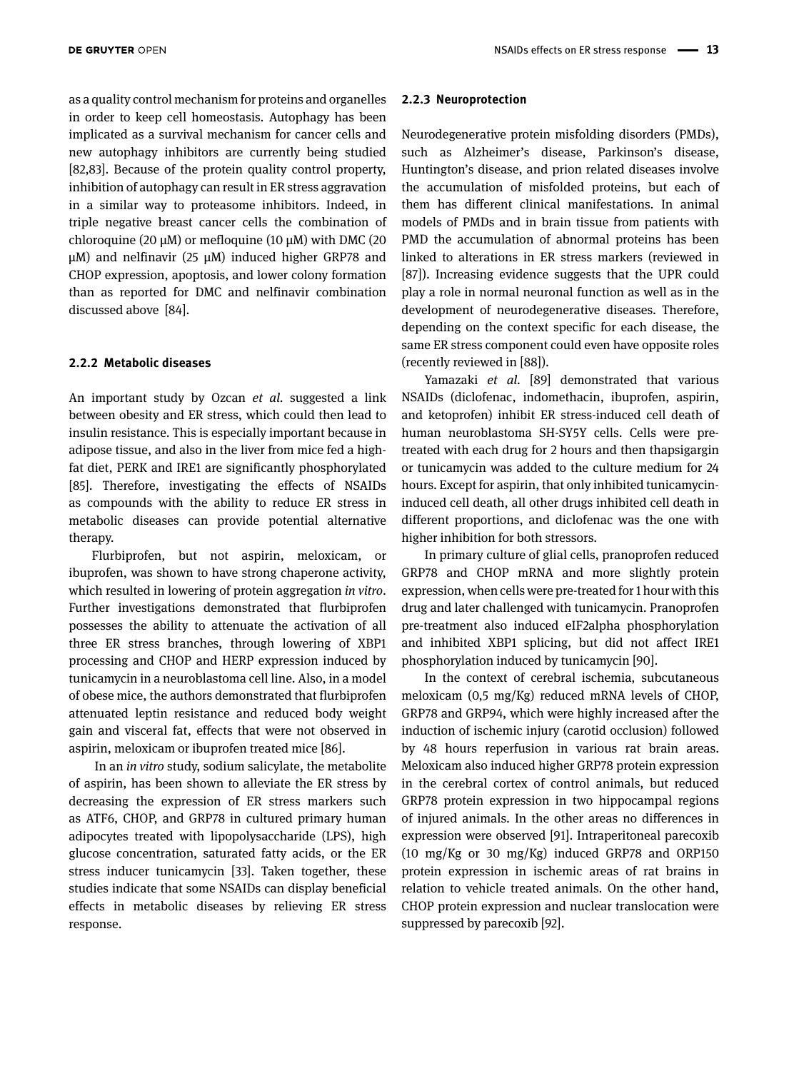as a quality control mechanism for proteins and organelles in order to keep cell homeostasis. Autophagy has been implicated as a survival mechanism for cancer cells and new autophagy inhibitors are currently being studied [82,83]. Because of the protein quality control property, inhibition of autophagy can result in ER stress aggravation in a similar way to proteasome inhibitors. Indeed, in triple negative breast cancer cells the combination of chloroquine (20  $\mu$ M) or mefloquine (10  $\mu$ M) with DMC (20  $\mu$ M) and nelfinavir (25  $\mu$ M) induced higher GRP78 and CHOP expression, apoptosis, and lower colony formation than as reported for DMC and nelfinavir combination discussed above [84].

#### **2.2.2 Metabolic diseases**

An important study by Ozcan *et al.* suggested a link between obesity and ER stress, which could then lead to insulin resistance. This is especially important because in adipose tissue, and also in the liver from mice fed a highfat diet, PERK and IRE1 are significantly phosphorylated [85]. Therefore, investigating the effects of NSAIDs as compounds with the ability to reduce ER stress in metabolic diseases can provide potential alternative therapy.

Flurbiprofen, but not aspirin, meloxicam, or ibuprofen, was shown to have strong chaperone activity, which resulted in lowering of protein aggregation *in vitro*. Further investigations demonstrated that flurbiprofen possesses the ability to attenuate the activation of all three ER stress branches, through lowering of XBP1 processing and CHOP and HERP expression induced by tunicamycin in a neuroblastoma cell line. Also, in a model of obese mice, the authors demonstrated that flurbiprofen attenuated leptin resistance and reduced body weight gain and visceral fat, effects that were not observed in aspirin, meloxicam or ibuprofen treated mice [86].

 In an *in vitro* study, sodium salicylate, the metabolite of aspirin, has been shown to alleviate the ER stress by decreasing the expression of ER stress markers such as ATF6, CHOP, and GRP78 in cultured primary human adipocytes treated with lipopolysaccharide (LPS), high glucose concentration, saturated fatty acids, or the ER stress inducer tunicamycin [33]. Taken together, these studies indicate that some NSAIDs can display beneficial effects in metabolic diseases by relieving ER stress response.

#### **2.2.3 Neuroprotection**

Neurodegenerative protein misfolding disorders (PMDs), such as Alzheimer's disease, Parkinson's disease, Huntington's disease, and prion related diseases involve the accumulation of misfolded proteins, but each of them has different clinical manifestations. In animal models of PMDs and in brain tissue from patients with PMD the accumulation of abnormal proteins has been linked to alterations in ER stress markers (reviewed in [87]). Increasing evidence suggests that the UPR could play a role in normal neuronal function as well as in the development of neurodegenerative diseases. Therefore, depending on the context specific for each disease, the same ER stress component could even have opposite roles (recently reviewed in [88]).

Yamazaki *et al.* [89] demonstrated that various NSAIDs (diclofenac, indomethacin, ibuprofen, aspirin, and ketoprofen) inhibit ER stress-induced cell death of human neuroblastoma SH-SY5Y cells. Cells were pretreated with each drug for 2 hours and then thapsigargin or tunicamycin was added to the culture medium for 24 hours. Except for aspirin, that only inhibited tunicamycininduced cell death, all other drugs inhibited cell death in different proportions, and diclofenac was the one with higher inhibition for both stressors.

In primary culture of glial cells, pranoprofen reduced GRP78 and CHOP mRNA and more slightly protein expression, when cells were pre-treated for 1 hour with this drug and later challenged with tunicamycin. Pranoprofen pre-treatment also induced eIF2alpha phosphorylation and inhibited XBP1 splicing, but did not affect IRE1 phosphorylation induced by tunicamycin [90].

In the context of cerebral ischemia, subcutaneous meloxicam (0,5 mg/Kg) reduced mRNA levels of CHOP, GRP78 and GRP94, which were highly increased after the induction of ischemic injury (carotid occlusion) followed by 48 hours reperfusion in various rat brain areas. Meloxicam also induced higher GRP78 protein expression in the cerebral cortex of control animals, but reduced GRP78 protein expression in two hippocampal regions of injured animals. In the other areas no differences in expression were observed [91]. Intraperitoneal parecoxib (10 mg/Kg or 30 mg/Kg) induced GRP78 and ORP150 protein expression in ischemic areas of rat brains in relation to vehicle treated animals. On the other hand, CHOP protein expression and nuclear translocation were suppressed by parecoxib [92].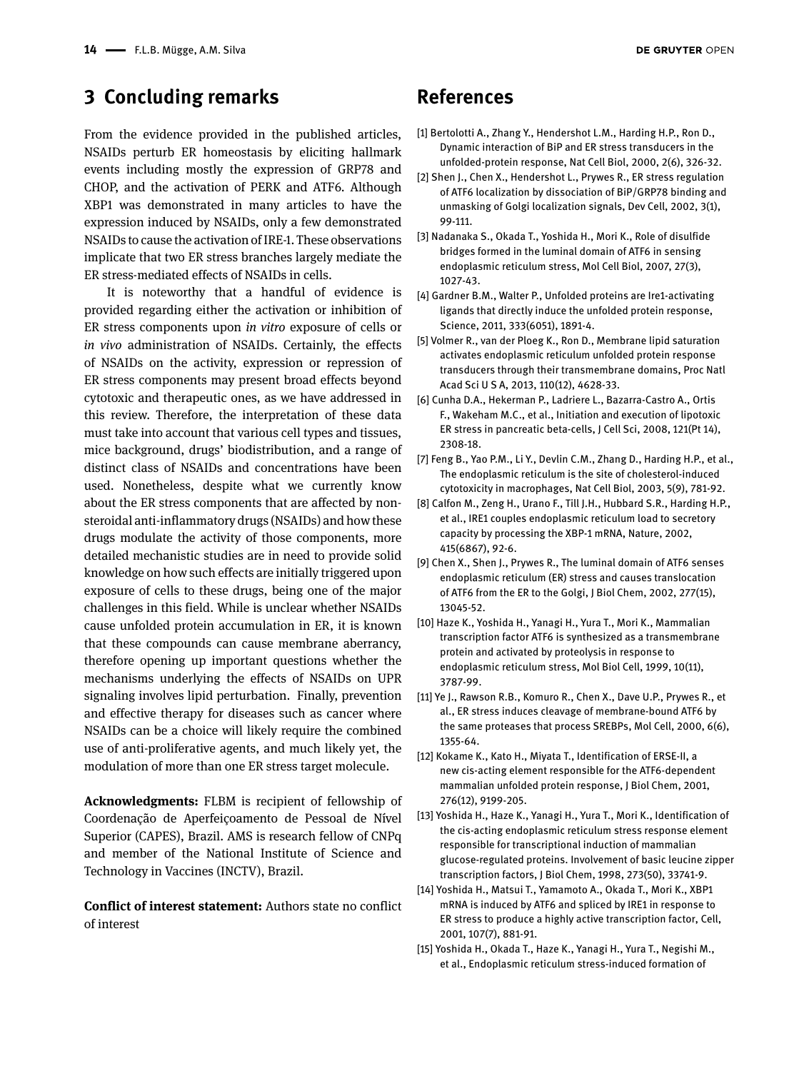### **3 Concluding remarks**

From the evidence provided in the published articles, NSAIDs perturb ER homeostasis by eliciting hallmark events including mostly the expression of GRP78 and CHOP, and the activation of PERK and ATF6. Although XBP1 was demonstrated in many articles to have the expression induced by NSAIDs, only a few demonstrated NSAIDs to cause the activation of IRE-1. These observations implicate that two ER stress branches largely mediate the ER stress-mediated effects of NSAIDs in cells.

It is noteworthy that a handful of evidence is provided regarding either the activation or inhibition of ER stress components upon *in vitro* exposure of cells or *in vivo* administration of NSAIDs. Certainly, the effects of NSAIDs on the activity, expression or repression of ER stress components may present broad effects beyond cytotoxic and therapeutic ones, as we have addressed in this review. Therefore, the interpretation of these data must take into account that various cell types and tissues, mice background, drugs' biodistribution, and a range of distinct class of NSAIDs and concentrations have been used. Nonetheless, despite what we currently know about the ER stress components that are affected by nonsteroidal anti-inflammatory drugs (NSAIDs) and how these drugs modulate the activity of those components, more detailed mechanistic studies are in need to provide solid knowledge on how such effects are initially triggered upon exposure of cells to these drugs, being one of the major challenges in this field. While is unclear whether NSAIDs cause unfolded protein accumulation in ER, it is known that these compounds can cause membrane aberrancy, therefore opening up important questions whether the mechanisms underlying the effects of NSAIDs on UPR signaling involves lipid perturbation. Finally, prevention and effective therapy for diseases such as cancer where NSAIDs can be a choice will likely require the combined use of anti-proliferative agents, and much likely yet, the modulation of more than one ER stress target molecule.

**Acknowledgments:** FLBM is recipient of fellowship of Coordenação de Aperfeiçoamento de Pessoal de Nível Superior (CAPES), Brazil. AMS is research fellow of CNPq and member of the National Institute of Science and Technology in Vaccines (INCTV), Brazil.

**Conflict of interest statement:** Authors state no conflict of interest

### **References**

- [1] Bertolotti A., Zhang Y., Hendershot L.M., Harding H.P., Ron D., Dynamic interaction of BiP and ER stress transducers in the unfolded-protein response, Nat Cell Biol, 2000, 2(6), 326-32.
- [2] Shen J., Chen X., Hendershot L., Prywes R., ER stress regulation of ATF6 localization by dissociation of BiP/GRP78 binding and unmasking of Golgi localization signals, Dev Cell, 2002, 3(1), 99-111.
- [3] Nadanaka S., Okada T., Yoshida H., Mori K., Role of disulfide bridges formed in the luminal domain of ATF6 in sensing endoplasmic reticulum stress, Mol Cell Biol, 2007, 27(3), 1027-43.
- [4] Gardner B.M., Walter P., Unfolded proteins are Ire1-activating ligands that directly induce the unfolded protein response, Science, 2011, 333(6051), 1891-4.
- [5] Volmer R., van der Ploeg K., Ron D., Membrane lipid saturation activates endoplasmic reticulum unfolded protein response transducers through their transmembrane domains, Proc Natl Acad Sci U S A, 2013, 110(12), 4628-33.
- [6] Cunha D.A., Hekerman P., Ladriere L., Bazarra-Castro A., Ortis F., Wakeham M.C., et al., Initiation and execution of lipotoxic ER stress in pancreatic beta-cells, J Cell Sci, 2008, 121(Pt 14), 2308-18.
- [7] Feng B., Yao P.M., Li Y., Devlin C.M., Zhang D., Harding H.P., et al., The endoplasmic reticulum is the site of cholesterol-induced cytotoxicity in macrophages, Nat Cell Biol, 2003, 5(9), 781-92.
- [8] Calfon M., Zeng H., Urano F., Till J.H., Hubbard S.R., Harding H.P., et al., IRE1 couples endoplasmic reticulum load to secretory capacity by processing the XBP-1 mRNA, Nature, 2002, 415(6867), 92-6.
- [9] Chen X., Shen J., Prywes R., The luminal domain of ATF6 senses endoplasmic reticulum (ER) stress and causes translocation of ATF6 from the ER to the Golgi, J Biol Chem, 2002, 277(15), 13045-52.
- [10] Haze K., Yoshida H., Yanagi H., Yura T., Mori K., Mammalian transcription factor ATF6 is synthesized as a transmembrane protein and activated by proteolysis in response to endoplasmic reticulum stress, Mol Biol Cell, 1999, 10(11), 3787-99.
- [11] Ye J., Rawson R.B., Komuro R., Chen X., Dave U.P., Prywes R., et al., ER stress induces cleavage of membrane-bound ATF6 by the same proteases that process SREBPs, Mol Cell, 2000, 6(6), 1355-64.
- [12] Kokame K., Kato H., Miyata T., Identification of ERSE-II, a new cis-acting element responsible for the ATF6-dependent mammalian unfolded protein response, J Biol Chem, 2001, 276(12), 9199-205.
- [13] Yoshida H., Haze K., Yanagi H., Yura T., Mori K., Identification of the cis-acting endoplasmic reticulum stress response element responsible for transcriptional induction of mammalian glucose-regulated proteins. Involvement of basic leucine zipper transcription factors, J Biol Chem, 1998, 273(50), 33741-9.
- [14] Yoshida H., Matsui T., Yamamoto A., Okada T., Mori K., XBP1 mRNA is induced by ATF6 and spliced by IRE1 in response to ER stress to produce a highly active transcription factor, Cell, 2001, 107(7), 881-91.
- [15] Yoshida H., Okada T., Haze K., Yanagi H., Yura T., Negishi M., et al., Endoplasmic reticulum stress-induced formation of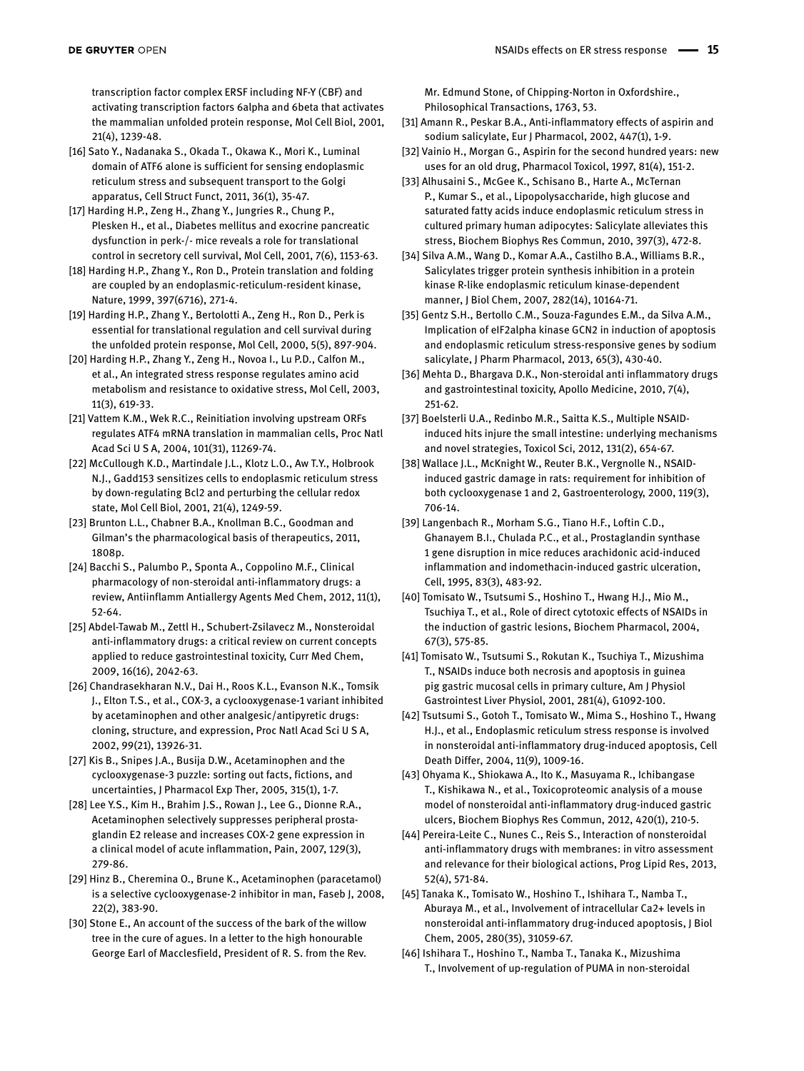transcription factor complex ERSF including NF-Y (CBF) and activating transcription factors 6alpha and 6beta that activates the mammalian unfolded protein response, Mol Cell Biol, 2001, 21(4), 1239-48.

- [16] Sato Y., Nadanaka S., Okada T., Okawa K., Mori K., Luminal domain of ATF6 alone is sufficient for sensing endoplasmic reticulum stress and subsequent transport to the Golgi apparatus, Cell Struct Funct, 2011, 36(1), 35-47.
- [17] Harding H.P., Zeng H., Zhang Y., Jungries R., Chung P., Plesken H., et al., Diabetes mellitus and exocrine pancreatic dysfunction in perk-/- mice reveals a role for translational control in secretory cell survival, Mol Cell, 2001, 7(6), 1153-63.
- [18] Harding H.P., Zhang Y., Ron D., Protein translation and folding are coupled by an endoplasmic-reticulum-resident kinase, Nature, 1999, 397(6716), 271-4.
- [19] Harding H.P., Zhang Y., Bertolotti A., Zeng H., Ron D., Perk is essential for translational regulation and cell survival during the unfolded protein response, Mol Cell, 2000, 5(5), 897-904.
- [20] Harding H.P., Zhang Y., Zeng H., Novoa I., Lu P.D., Calfon M., et al., An integrated stress response regulates amino acid metabolism and resistance to oxidative stress, Mol Cell, 2003, 11(3), 619-33.
- [21] Vattem K.M., Wek R.C., Reinitiation involving upstream ORFs regulates ATF4 mRNA translation in mammalian cells, Proc Natl Acad Sci U S A, 2004, 101(31), 11269-74.
- [22] McCullough K.D., Martindale J.L., Klotz L.O., Aw T.Y., Holbrook N.J., Gadd153 sensitizes cells to endoplasmic reticulum stress by down-regulating Bcl2 and perturbing the cellular redox state, Mol Cell Biol, 2001, 21(4), 1249-59.
- [23] Brunton L.L., Chabner B.A., Knollman B.C., Goodman and Gilman's the pharmacological basis of therapeutics, 2011, 1808p.
- [24] Bacchi S., Palumbo P., Sponta A., Coppolino M.F., Clinical pharmacology of non-steroidal anti-inflammatory drugs: a review, Antiinflamm Antiallergy Agents Med Chem, 2012, 11(1), 52-64.
- [25] Abdel-Tawab M., Zettl H., Schubert-Zsilavecz M., Nonsteroidal anti-inflammatory drugs: a critical review on current concepts applied to reduce gastrointestinal toxicity, Curr Med Chem, 2009, 16(16), 2042-63.
- [26] Chandrasekharan N.V., Dai H., Roos K.L., Evanson N.K., Tomsik J., Elton T.S., et al., COX-3, a cyclooxygenase-1 variant inhibited by acetaminophen and other analgesic/antipyretic drugs: cloning, structure, and expression, Proc Natl Acad Sci U S A, 2002, 99(21), 13926-31.
- [27] Kis B., Snipes J.A., Busija D.W., Acetaminophen and the cyclooxygenase-3 puzzle: sorting out facts, fictions, and uncertainties, J Pharmacol Exp Ther, 2005, 315(1), 1-7.
- [28] Lee Y.S., Kim H., Brahim J.S., Rowan J., Lee G., Dionne R.A., Acetaminophen selectively suppresses peripheral prostaglandin E2 release and increases COX-2 gene expression in a clinical model of acute inflammation, Pain, 2007, 129(3), 279-86.
- [29] Hinz B., Cheremina O., Brune K., Acetaminophen (paracetamol) is a selective cyclooxygenase-2 inhibitor in man, Faseb J, 2008, 22(2), 383-90.
- [30] Stone E., An account of the success of the bark of the willow tree in the cure of agues. In a letter to the high honourable George Earl of Macclesfield, President of R. S. from the Rev.

Mr. Edmund Stone, of Chipping-Norton in Oxfordshire., Philosophical Transactions, 1763, 53.

- [31] Amann R., Peskar B.A., Anti-inflammatory effects of aspirin and sodium salicylate, Eur J Pharmacol, 2002, 447(1), 1-9.
- [32] Vainio H., Morgan G., Aspirin for the second hundred years: new uses for an old drug, Pharmacol Toxicol, 1997, 81(4), 151-2.
- [33] Alhusaini S., McGee K., Schisano B., Harte A., McTernan P., Kumar S., et al., Lipopolysaccharide, high glucose and saturated fatty acids induce endoplasmic reticulum stress in cultured primary human adipocytes: Salicylate alleviates this stress, Biochem Biophys Res Commun, 2010, 397(3), 472-8.
- [34] Silva A.M., Wang D., Komar A.A., Castilho B.A., Williams B.R., Salicylates trigger protein synthesis inhibition in a protein kinase R-like endoplasmic reticulum kinase-dependent manner, J Biol Chem, 2007, 282(14), 10164-71.
- [35] Gentz S.H., Bertollo C.M., Souza-Fagundes E.M., da Silva A.M., Implication of eIF2alpha kinase GCN2 in induction of apoptosis and endoplasmic reticulum stress-responsive genes by sodium salicylate, J Pharm Pharmacol, 2013, 65(3), 430-40.
- [36] Mehta D., Bhargava D.K., Non-steroidal anti inflammatory drugs and gastrointestinal toxicity, Apollo Medicine, 2010, 7(4), 251-62.
- [37] Boelsterli U.A., Redinbo M.R., Saitta K.S., Multiple NSAIDinduced hits injure the small intestine: underlying mechanisms and novel strategies, Toxicol Sci, 2012, 131(2), 654-67.
- [38] Wallace J.L., McKnight W., Reuter B.K., Vergnolle N., NSAIDinduced gastric damage in rats: requirement for inhibition of both cyclooxygenase 1 and 2, Gastroenterology, 2000, 119(3), 706-14.
- [39] Langenbach R., Morham S.G., Tiano H.F., Loftin C.D., Ghanayem B.I., Chulada P.C., et al., Prostaglandin synthase 1 gene disruption in mice reduces arachidonic acid-induced inflammation and indomethacin-induced gastric ulceration, Cell, 1995, 83(3), 483-92.
- [40] Tomisato W., Tsutsumi S., Hoshino T., Hwang H.J., Mio M., Tsuchiya T., et al., Role of direct cytotoxic effects of NSAIDs in the induction of gastric lesions, Biochem Pharmacol, 2004, 67(3), 575-85.
- [41] Tomisato W., Tsutsumi S., Rokutan K., Tsuchiya T., Mizushima T., NSAIDs induce both necrosis and apoptosis in guinea pig gastric mucosal cells in primary culture, Am J Physiol Gastrointest Liver Physiol, 2001, 281(4), G1092-100.
- [42] Tsutsumi S., Gotoh T., Tomisato W., Mima S., Hoshino T., Hwang H.J., et al., Endoplasmic reticulum stress response is involved in nonsteroidal anti-inflammatory drug-induced apoptosis, Cell Death Differ, 2004, 11(9), 1009-16.
- [43] Ohyama K., Shiokawa A., Ito K., Masuyama R., Ichibangase T., Kishikawa N., et al., Toxicoproteomic analysis of a mouse model of nonsteroidal anti-inflammatory drug-induced gastric ulcers, Biochem Biophys Res Commun, 2012, 420(1), 210-5.
- [44] Pereira-Leite C., Nunes C., Reis S., Interaction of nonsteroidal anti-inflammatory drugs with membranes: in vitro assessment and relevance for their biological actions, Prog Lipid Res, 2013, 52(4), 571-84.
- [45] Tanaka K., Tomisato W., Hoshino T., Ishihara T., Namba T., Aburaya M., et al., Involvement of intracellular Ca2+ levels in nonsteroidal anti-inflammatory drug-induced apoptosis, J Biol Chem, 2005, 280(35), 31059-67.
- [46] Ishihara T., Hoshino T., Namba T., Tanaka K., Mizushima T., Involvement of up-regulation of PUMA in non-steroidal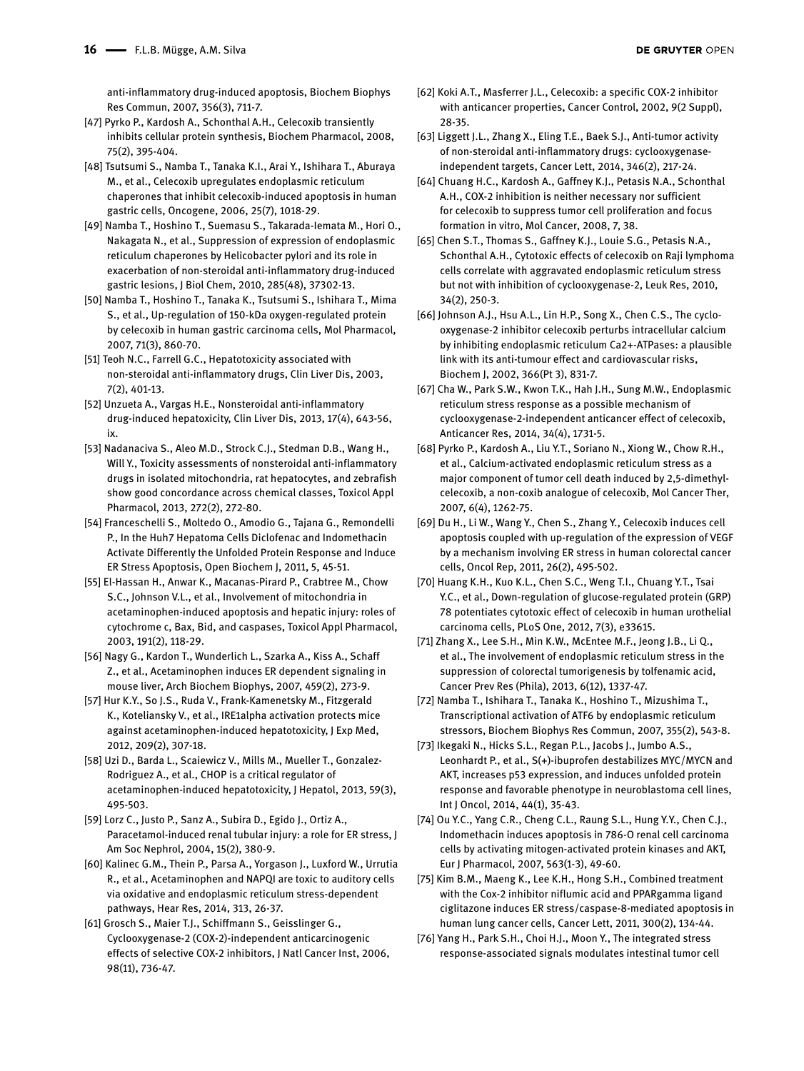anti-inflammatory drug-induced apoptosis, Biochem Biophys Res Commun, 2007, 356(3), 711-7.

- [47] Pyrko P., Kardosh A., Schonthal A.H., Celecoxib transiently inhibits cellular protein synthesis, Biochem Pharmacol, 2008, 75(2), 395-404.
- [48] Tsutsumi S., Namba T., Tanaka K.I., Arai Y., Ishihara T., Aburaya M., et al., Celecoxib upregulates endoplasmic reticulum chaperones that inhibit celecoxib-induced apoptosis in human gastric cells, Oncogene, 2006, 25(7), 1018-29.
- [49] Namba T., Hoshino T., Suemasu S., Takarada-Iemata M., Hori O., Nakagata N., et al., Suppression of expression of endoplasmic reticulum chaperones by Helicobacter pylori and its role in exacerbation of non-steroidal anti-inflammatory drug-induced gastric lesions, J Biol Chem, 2010, 285(48), 37302-13.
- [50] Namba T., Hoshino T., Tanaka K., Tsutsumi S., Ishihara T., Mima S., et al., Up-regulation of 150-kDa oxygen-regulated protein by celecoxib in human gastric carcinoma cells, Mol Pharmacol, 2007, 71(3), 860-70.
- [51] Teoh N.C., Farrell G.C., Hepatotoxicity associated with non-steroidal anti-inflammatory drugs, Clin Liver Dis, 2003, 7(2), 401-13.
- [52] Unzueta A., Vargas H.E., Nonsteroidal anti-inflammatory drug-induced hepatoxicity, Clin Liver Dis, 2013, 17(4), 643-56, ix.
- [53] Nadanaciva S., Aleo M.D., Strock C.J., Stedman D.B., Wang H., Will Y., Toxicity assessments of nonsteroidal anti-inflammatory drugs in isolated mitochondria, rat hepatocytes, and zebrafish show good concordance across chemical classes, Toxicol Appl Pharmacol, 2013, 272(2), 272-80.
- [54] Franceschelli S., Moltedo O., Amodio G., Tajana G., Remondelli P., In the Huh7 Hepatoma Cells Diclofenac and Indomethacin Activate Differently the Unfolded Protein Response and Induce ER Stress Apoptosis, Open Biochem J, 2011, 5, 45-51.
- [55] El-Hassan H., Anwar K., Macanas-Pirard P., Crabtree M., Chow S.C., Johnson V.L., et al., Involvement of mitochondria in acetaminophen-induced apoptosis and hepatic injury: roles of cytochrome c, Bax, Bid, and caspases, Toxicol Appl Pharmacol, 2003, 191(2), 118-29.
- [56] Nagy G., Kardon T., Wunderlich L., Szarka A., Kiss A., Schaff Z., et al., Acetaminophen induces ER dependent signaling in mouse liver, Arch Biochem Biophys, 2007, 459(2), 273-9.
- [57] Hur K.Y., So J.S., Ruda V., Frank-Kamenetsky M., Fitzgerald K., Koteliansky V., et al., IRE1alpha activation protects mice against acetaminophen-induced hepatotoxicity, J Exp Med, 2012, 209(2), 307-18.
- [58] Uzi D., Barda L., Scaiewicz V., Mills M., Mueller T., Gonzalez-Rodriguez A., et al., CHOP is a critical regulator of acetaminophen-induced hepatotoxicity, J Hepatol, 2013, 59(3), 495-503.
- [59] Lorz C., Justo P., Sanz A., Subira D., Egido J., Ortiz A., Paracetamol-induced renal tubular injury: a role for ER stress, J Am Soc Nephrol, 2004, 15(2), 380-9.
- [60] Kalinec G.M., Thein P., Parsa A., Yorgason J., Luxford W., Urrutia R., et al., Acetaminophen and NAPQI are toxic to auditory cells via oxidative and endoplasmic reticulum stress-dependent pathways, Hear Res, 2014, 313, 26-37.
- [61] Grosch S., Maier T.J., Schiffmann S., Geisslinger G., Cyclooxygenase-2 (COX-2)-independent anticarcinogenic effects of selective COX-2 inhibitors, J Natl Cancer Inst, 2006, 98(11), 736-47.
- [62] Koki A.T., Masferrer J.L., Celecoxib: a specific COX-2 inhibitor with anticancer properties, Cancer Control, 2002, 9(2 Suppl), 28-35.
- [63] Liggett J.L., Zhang X., Eling T.E., Baek S.J., Anti-tumor activity of non-steroidal anti-inflammatory drugs: cyclooxygenaseindependent targets, Cancer Lett, 2014, 346(2), 217-24.
- [64] Chuang H.C., Kardosh A., Gaffney K.J., Petasis N.A., Schonthal A.H., COX-2 inhibition is neither necessary nor sufficient for celecoxib to suppress tumor cell proliferation and focus formation in vitro, Mol Cancer, 2008, 7, 38.
- [65] Chen S.T., Thomas S., Gaffney K.J., Louie S.G., Petasis N.A., Schonthal A.H., Cytotoxic effects of celecoxib on Raji lymphoma cells correlate with aggravated endoplasmic reticulum stress but not with inhibition of cyclooxygenase-2, Leuk Res, 2010, 34(2), 250-3.
- [66] Johnson A.J., Hsu A.L., Lin H.P., Song X., Chen C.S., The cyclooxygenase-2 inhibitor celecoxib perturbs intracellular calcium by inhibiting endoplasmic reticulum Ca2+-ATPases: a plausible link with its anti-tumour effect and cardiovascular risks, Biochem J, 2002, 366(Pt 3), 831-7.
- [67] Cha W., Park S.W., Kwon T.K., Hah J.H., Sung M.W., Endoplasmic reticulum stress response as a possible mechanism of cyclooxygenase-2-independent anticancer effect of celecoxib, Anticancer Res, 2014, 34(4), 1731-5.
- [68] Pyrko P., Kardosh A., Liu Y.T., Soriano N., Xiong W., Chow R.H., et al., Calcium-activated endoplasmic reticulum stress as a major component of tumor cell death induced by 2,5-dimethylcelecoxib, a non-coxib analogue of celecoxib, Mol Cancer Ther, 2007, 6(4), 1262-75.
- [69] Du H., Li W., Wang Y., Chen S., Zhang Y., Celecoxib induces cell apoptosis coupled with up-regulation of the expression of VEGF by a mechanism involving ER stress in human colorectal cancer cells, Oncol Rep, 2011, 26(2), 495-502.
- [70] Huang K.H., Kuo K.L., Chen S.C., Weng T.I., Chuang Y.T., Tsai Y.C., et al., Down-regulation of glucose-regulated protein (GRP) 78 potentiates cytotoxic effect of celecoxib in human urothelial carcinoma cells, PLoS One, 2012, 7(3), e33615.
- [71] Zhang X., Lee S.H., Min K.W., McEntee M.F., Jeong J.B., Li Q., et al., The involvement of endoplasmic reticulum stress in the suppression of colorectal tumorigenesis by tolfenamic acid, Cancer Prev Res (Phila), 2013, 6(12), 1337-47.
- [72] Namba T., Ishihara T., Tanaka K., Hoshino T., Mizushima T., Transcriptional activation of ATF6 by endoplasmic reticulum stressors, Biochem Biophys Res Commun, 2007, 355(2), 543-8.
- [73] Ikegaki N., Hicks S.L., Regan P.L., Jacobs J., Jumbo A.S., Leonhardt P., et al., S(+)-ibuprofen destabilizes MYC/MYCN and AKT, increases p53 expression, and induces unfolded protein response and favorable phenotype in neuroblastoma cell lines, Int J Oncol, 2014, 44(1), 35-43.
- [74] Ou Y.C., Yang C.R., Cheng C.L., Raung S.L., Hung Y.Y., Chen C.J., Indomethacin induces apoptosis in 786-O renal cell carcinoma cells by activating mitogen-activated protein kinases and AKT, Eur J Pharmacol, 2007, 563(1-3), 49-60.
- [75] Kim B.M., Maeng K., Lee K.H., Hong S.H., Combined treatment with the Cox-2 inhibitor niflumic acid and PPARgamma ligand ciglitazone induces ER stress/caspase-8-mediated apoptosis in human lung cancer cells, Cancer Lett, 2011, 300(2), 134-44.
- [76] Yang H., Park S.H., Choi H.J., Moon Y., The integrated stress response-associated signals modulates intestinal tumor cell